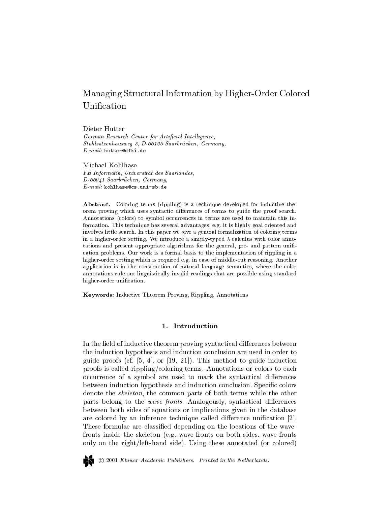# Managing Stru
tural Information by Higher-Order Colored Unification

Dieter Hutter

German Research Center for Artificial Intelligence, Stuhlsatzenhausweg 3, D-66123 Saarbrücken, Germany,  $E\text{-}mail:$  hutter@dfki.de

Michael Kohlhase FB Informatik, Universitat des Saarlandes, D-66041 Saarbrücken, Germany,  $E\text{-}mail:$  kohlhase@cs.uni-sb.de

Abstract. Coloring terms (rippling) is a technique developed for inductive theorem proving which uses syntactic differences of terms to guide the proof search. Annotations (colors) to symbol occurrences in terms are used to maintain this information. This te
hnique has several advantages, e.g. it is highly goal oriented and involves little sear
h. In this paper we give a general formalization of oloring terms in a higher-order setting. We introduce a simply-typed  $\lambda$  calculus with color annotations and present appropriate algorithms for the general, pre- and pattern uni ation problems. Our work is a formal basis to the implementation of rippling in a higher-order setting whi
h is required e.g. in ase of middle-out reasoning. Another application is in the construction of natural language semantics, where the color annotations rule out linguisti
ally invalid readings that are possible using standard higher-order unification.

Keywords: Indu
tive Theorem Proving, Rippling, Annotations

## 1. Introdu
tion

In the field of inductive theorem proving syntactical differences between the indu
tion hypothesis and indu
tion on
lusion are used in order to guide proofs (cf.  $[5, 4]$ , or  $[19, 21]$ ). This method to guide induction proofs is called rippling/coloring terms. Annotations or colors to each occurrence of a symbol are used to mark the syntactical differences between induction hypothesis and induction conclusion. Specific colors denote the *skeleton*, the common parts of both terms while the other parts belong to the *wave-fronts*. Analogously, syntactical differences between both sides of equations or impli
ations given in the database are colored by an inference technique called difference unification [2]. These formulae are classified depending on the locations of the wavefronts inside the skeleton (e.g. wave-fronts on both sides, wave-fronts only on the right/left-hand side). Using these annotated (or colored)



2001 Kluwer A
ademi Publishers. Printed in the Netherlands.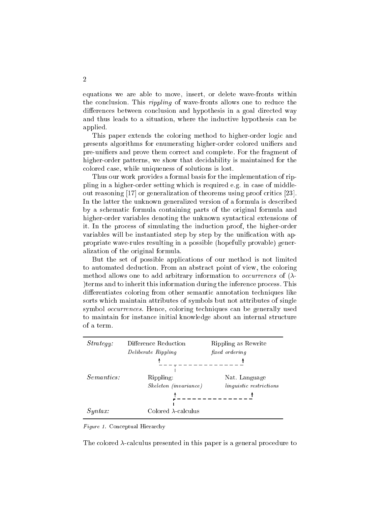equations we are able to move, insert, or delete wave-fronts within the conclusion. This *rippling* of wave-fronts allows one to reduce the differences between conclusion and hypothesis in a goal directed way and thus leads to a situation, where the inductive hypothesis can be applied.

This paper extends the coloring method to higher-order logic and presents algorithms for enumerating higher-order colored unifiers and pre-unifiers and prove them correct and complete. For the fragment of higher-order patterns, we show that decidability is maintained for the olored ase, while uniqueness of solutions is lost.

Thus our work provides a formal basis for the implementation of rippling in a higher-order setting which is required e.g. in case of middleout reasoning  $[17]$  or generalization of theorems using proof critics  $[23]$ . In the latter the unknown generalized version of a formula is des
ribed by a s
hemati formula ontaining parts of the original formula and higher-order variables denoting the unknown syntactical extensions of it. In the pro
ess of simulating the indu
tion proof, the higher-order variables will be instantiated step by step by the unification with appropriate wave-rules resulting in a possible (hopefully provable) generalization of the original formula.

But the set of possible applications of our method is not limited to automated deduction. From an abstract point of view, the coloring method allows one to add arbitrary information to *occurrences* of  $(\lambda$ )terms and to inherit this information during the inferen
e pro
ess. This differentiates coloring from other semantic annotation techniques like sorts whi
h maintain attributes of symbols but not attributes of single symbol *occurrences*. Hence, coloring techniques can be generally used to maintain for instan
e initial knowledge about an internal stru
ture of a term.

| Strategy:         | Difference Reduction<br>Deliberate Rippling | Rippling as Rewrite<br>fixed ordering |
|-------------------|---------------------------------------------|---------------------------------------|
|                   |                                             |                                       |
| <i>Semantics:</i> | Rippling:                                   | Nat. Language                         |
|                   | Skeleton (invariance)                       | <i>linguistic restrictions</i>        |
|                   |                                             |                                       |
| Syntax:           | Colored $\lambda$ -calculus                 |                                       |

#### Figure 1. Conceptual Hierarchy

The colored  $\lambda$ -calculus presented in this paper is a general procedure to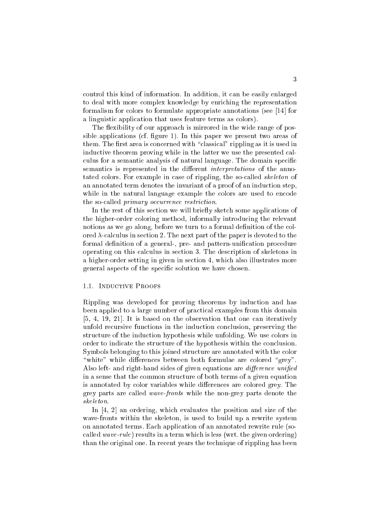ontrol this kind of information. In addition, it an be easily enlarged to deal with more omplex knowledge by enri
hing the representation formalism for colors to formulate appropriate annotations (see  $[14]$  for a linguistic application that uses feature terms as colors).

The flexibility of our approach is mirrored in the wide range of possible applications (cf. figure 1). In this paper we present two areas of them. The first area is concerned with "classical" rippling as it is used in inductive theorem proving while in the latter we use the presented calculus for a semantic analysis of natural language. The domain specific semantics is represented in the different *interpretations* of the annotated colors. For example in case of rippling, the so-called *skeleton* of an annotated term denotes the invariant of a proof of an induction step, while in the natural language example the colors are used to encode the so-called *primary occurrence restriction*.

In the rest of this section we will briefly sketch some applications of the higher-order oloring method, informally introdu
ing the relevant notions as we go along, before we turn to a formal definition of the colored  $\lambda$ -calculus in section 2. The next part of the paper is devoted to the formal definition of a general-, pre- and pattern-unification procedure operating on this calculus in section 3. The description of skeletons in a higher-order setting in given in se
tion 4, whi
h also illustrates more general aspects of the specific solution we have chosen.

### 1.1. INDUCTIVE PROOFS

Rippling was developed for proving theorems by induction and has been applied to a large number of practical examples from this domain  $[5, 4, 19, 21]$ . It is based on the observation that one can iteratively unfold recursive functions in the induction conclusion, preserving the structure of the induction hypothesis while unfolding. We use colors in order to indicate the structure of the hypothesis within the conclusion. Symbols belonging to this joined structure are annotated with the color "white" while differences between both formulae are colored "grey". Also left- and right-hand sides of given equations are *difference unified* in a sense that the ommon stru
ture of both terms of a given equation is annotated by color variables while differences are colored grey. The grey parts are alled wave-fronts while the non-grey parts denote the skeleton.

In  $[4, 2]$  an ordering, which evaluates the position and size of the wave-fronts within the skeleton, is used to build up a rewrite system on annotated terms. Ea
h appli
ation of an annotated rewrite rule (so alled wave-rule) results in a term whi
h is less (wrt. the given ordering) than the original one. In re
ent years the te
hnique of rippling has been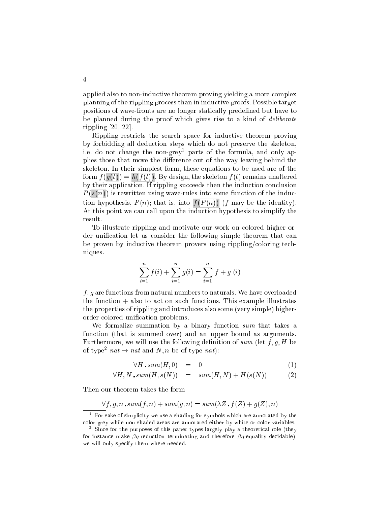applied also to non-inductive theorem proving yielding a more complex planning of the rippling pro
ess than in indu
tive proofs. Possible target positions of wave-fronts are no longer stati
ally predened but have to be planned during the proof which gives rise to a kind of *deliberate* rippling  $[20, 22]$ .

Rippling restricts the search space for inductive theorem proving by forbidding all dedu
tion steps whi
h do not preserve the skeleton, i.e. do not hange the non-grey<sup>1</sup> parts of the formula, and only applies those that move the difference out of the way leaving behind the skeleton. In their simplest form, these equations to be used are of the form  $f(g(t)) = h(f(t))$ . By design, the skeleton  $f(t)$  remains unaltered by their application. If rippling succeeds then the induction conclusion P (s(n) ) is rewritten using wave-rules into some fun
tion of the indu
 tion hypothesis,  $P(n)$ ; that is, into  $\overline{f(P(n))}$  (f may be the identity). At this point we can call upon the induction hypothesis to simplify the result.

To illustrate rippling and motivate our work on colored higher order unification let us consider the following simple theorem that can be proven by inductive theorem provers using rippling/coloring techniques.

$$
\sum_{i=1}^{n} f(i) + \sum_{i=1}^{n} g(i) = \sum_{i=1}^{n} [f+g](i)
$$

f ; g are fun
tions from natural numbers to naturals. We have overloaded the function  $+$  also to act on such functions. This example illustrates the properties of rippling and introdu
es also some (very simple) higherorder colored unification problems.

We formalize summation by a binary function  $sum$  that takes a function (that is summed over) and an upper bound as arguments. Furthermore, we will use the following definition of sum (let  $f, g, H$  be of type  $nat \rightarrow nat$  and  $N, n$  be of type  $nat$ :

$$
\forall H \, . \, sum(H,0) \quad = \quad 0 \tag{1}
$$

$$
\forall H, N \, \textit{sum}(H, s(N)) = \textit{sum}(H, N) + H(s(N)) \tag{2}
$$

Then our theorem takes the form

$$
\forall f,g,n\centerdot sum(f,n)+sum(g,n)=sum(\lambda Z\centerdot f(Z)+g(Z),n)
$$

For sake of simplicity we use a shading for symbols which are annotated by the color grey while non-shaded areas are annotated either by white or color variables.

<sup>2</sup> Sin
e for the purposes of this paper types largely play a theoreti
al role (they for instance make  $\beta\eta$ -reduction terminating and therefore  $\beta\eta$ -equality decidable). we will only spe
ify them where needed.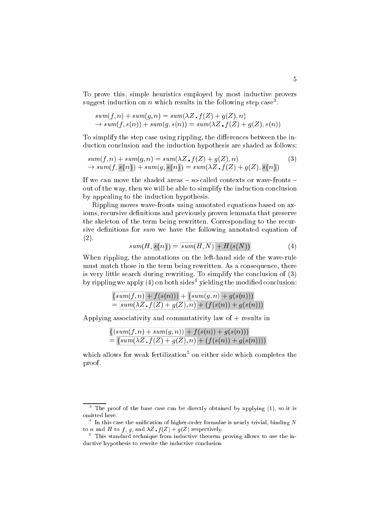To prove this, simple heuristics employed by most inductive provers suggest induction on  $n$  which results in the following step case .

$$
sum(f, n) + sum(g, n) = sum(\lambda Z \cdot f(Z) + g(Z), n)
$$
  
\n
$$
\rightarrow sum(f, s(n)) + sum(g, s(n)) = sum(\lambda Z \cdot f(Z) + g(Z), s(n))
$$

To simplify the step case using rippling, the differences between the induction conclusion and the induction hypothesis are shaded as follows:

$$
sum(f, n) + sum(g, n) = sum(\lambda Z \cdot f(Z) + g(Z), n)
$$
  
\n
$$
\rightarrow sum(f, s(n)) + sum(g, s(n)) = sum(\lambda Z \cdot f(Z) + g(Z), s(n))
$$
\n(3)

If we can move the shaded areas  $-$  so-called contexts or wave-fronts  $$ out of the way, then we will be able to simplify the induction conclusion by appealing to the indu
tion hypothesis.

Rippling moves wave-fronts using annotated equations based on axioms, recursive definitions and previously proven lemmata that preserve the skeleton of the term being rewritten. Corresponding to the re
ursive definitions for  $sum$  we have the following annotated equation of (2).

$$
sum(H, s(n)) = \overline{sum(H, N) + H(s(N))}
$$
\n(4)

When rippling, the annotations on the left-hand side of the wave-rule must match those in the term being rewritten. As a consequence, there is very little search during rewriting. To simplify the conclusion of  $(3)$ by rippling we apply (4) on both sides-yielding the modified conclusion:

$$
\frac{(sum(f, n) + f(s(n))) + (sum(g, n) + g(s(n)))}{= [sum(\lambda Z \cdot f(Z) + g(Z), n) + (f(s(n)) + g(s(n)))}
$$

Applying asso
iativity and ommutativity law of + results in

$$
\frac{((sum(f, n) + sum(g, n)) + f(s(n)) + g(s(n)))}{(sum(\lambda Z \cdot f(Z) + g(Z), n) + (f(s(n)) + g(s(n))))}
$$

which allows for weak fertilization<sup>-</sup> on either side which completes the proof.

The proof of the base case can be directly obtained by applying (1), so it is omitted here.

 $\,$  - In this case the unification of higher-order formulae is nearly trivial, binding TV  $\,$ to *n* and *H* to *f*, *g*, and  $\lambda Z \cdot f(Z) + g(Z)$  respectively.

<sup>5</sup> This standard te
hnique from indu
tive theorem proving allows to use the inductive hypothesis to rewrite the inductive conclusion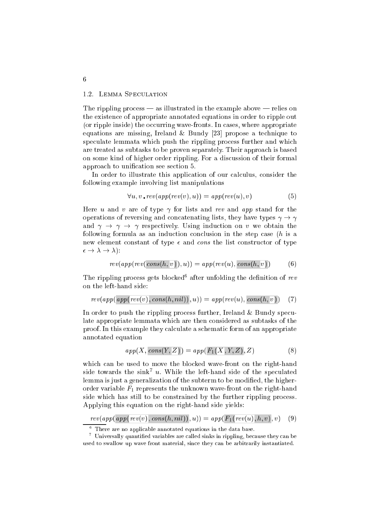## 1.2. LEMMA SPECULATION

The rippling process  $-$  as illustrated in the example above  $-$  relies on the existen
e of appropriate annotated equations in order to ripple out (or ripple inside) the occurring wave-fronts. In cases, where appropriate equations are missing, Ireland  $\&$  Bundy [23] propose a technique to speculate lemmata which push the rippling process further and which are treated as subtasks to be proven separately. Their approa
h is based on some kind of higher order rippling. For a dis
ussion of their formal approach to unification see section 5.

In order to illustrate this application of our calculus, consider the following example involving list manipulations

$$
\forall u, v \cdot \textit{rev}(\textit{app}(\textit{rev}(v), u)) = \textit{app}(\textit{rev}(u), v) \tag{5}
$$

Here u and v are of type  $\gamma$  for lists and rev and app stand for the operations of reversing and concatenating lists, they have types  $\gamma \to \gamma$ and  $\gamma \rightarrow \gamma \rightarrow \gamma$  respectively. Using induction on v we obtain the following formula as an induction conclusion in the step case  $(h$  is a new element constant of type  $\epsilon$  and cons the list constructor of type ! ! ):

$$
rev(app(rev(\text{cons}(h,\overline{v})),u)) = app(rev(u),\text{cons}(h,\overline{v}))\qquad \quad \ (6)
$$

The rippling process gets blocked after unfolding the definition of rev on the left-hand side:

$$
rev(app(\text{app}(\text{rev}(v), \text{cons}(h, \text{nil})), u)) = app(rev(u), \text{cons}(h, \overline{v})) \quad (7)
$$

In order to push the rippling process further, Ireland  $\&$  Bundy speculate appropriate lemmata whi
h are then onsidered as subtasks of the proof. In this example they calculate a schematic form of an appropriate annotated equation

$$
app(X, cons(Y, Z)) = app(F_1(X, Y, Z), Z)
$$
\n(8)

which can be used to move the blocked wave-front on the right-hand side towards the sink  $u$ . While the left-hand side of the speculated lemma is just a generalization of the subterm to be modified, the higherorder variable  $F_1$  represents the unknown wave-front on the right-hand side which has still to be constrained by the further rippling process. Applying this equation on the right-hand side yields:

 $rev(app(\overline{app(rev(v)},cons(h,nil)),u)) = app(\overline{F_1(rev(u),h,v)},v)$  (9)

6

There are no applicable annotated equations in the data base.

Universally quantified variables are called sinks in rippling, because they can be used to swallow up wave front material, sin
e they an be arbitrarily instantiated.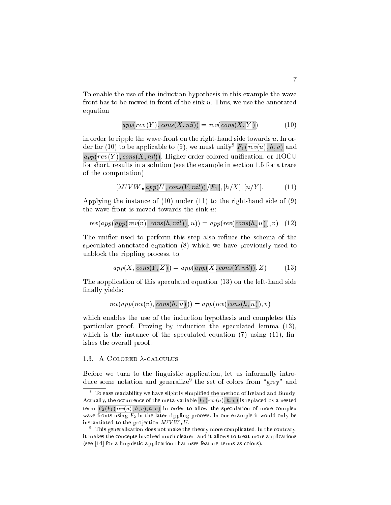To enable the use of the indu
tion hypothesis in this example the wave front has to be moved in front of the sink u. Thus, we use the annotated equation

$$
app(rev(Y), cons(X, nil)) = rev(cons(X, Y))
$$
\n(10)

in order to ripple the wave-front on the right-hand side towards  $u$ . In order for (10) to be applicable to (9), we must unify  $\langle F_1(rev(u),\hbar,v) \rangle$  and  $\overline{app(rev(Y), cons(X, nil))}$ . Higher-order colored unification, or HOCU for short, results in a solution (see the example in section 1.5 for a trace of the omputation)

$$
[\lambda UVW \cdot app(U, cons(V, nil))/F_1], [h/X], [u/Y]. \tag{11}
$$

Applying the instan
e of (10) under (11) to the right-hand side of (9) the wave-front is moved towards the sink  $u$ :

$$
rev(app(\text{app}(\text{rev}(v), \text{cons}(h, \text{nil})), u)) = app(rev(\text{cons}(h, u)), v) \quad (12)
$$

The unifier used to perform this step also refines the schema of the spe
ulated annotated equation (8) whi
h we have previously used to unblo
k the rippling pro
ess, to

$$
app(X, cons(Y, Z)) = app(\text{app}(X, cons(Y, nil)), Z)
$$
\n(13)

The aopplication of this speculated equation (13) on the left-hand side finally yields:

$$
rev(app(rev(v), cons(h, \overline{u}))) = app(rev(cons(h, \overline{u})), v)
$$

which enables the use of the induction hypothesis and completes this particular proof. Proving by induction the speculated lemma (13), which is the instance of the speculated equation  $(7)$  using  $(11)$ , finishes the overall proof.

## 1.3. A COLORED  $\lambda$ -CALCULUS

Before we turn to the linguistic application, let us informally introduce some notation and generalize<sup>s</sup> the set of colors from grey and

 $^\circ$  To ease readability we have slightly simplified the method of Ireland and Bundy; Actually, the occurrence of the meta-variable  $F_1(rev(u), h, v)$  is replaced by a nested term  $F_2(F_1(rev(u), h, v), h, v)$  in order to allow the speculation of more complex wave-fronts using  $F_2$  in the later rippling process. In our example it would only be instantiated to the projection  $\lambda UVW$  U.

This generalization does not make the theory more complicated, in the contrary, it makes the on
epts involved mu
h learer, and it allows to treat more appli
ations  $($ see  $[14]$  for a linguistic application that uses feature terms as colors).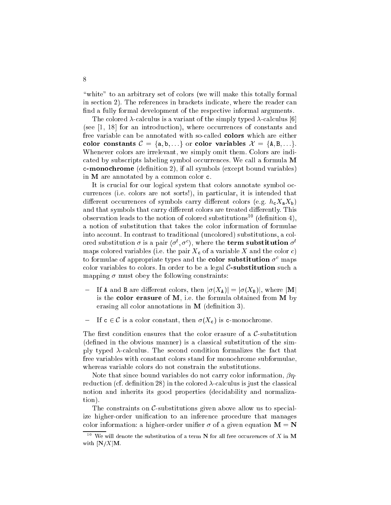"white" to an arbitrary set of colors (we will make this totally formal in se
tion 2). The referen
es in bra
kets indi
ate, where the reader an find a fully formal development of the respective informal arguments.

The colored  $\lambda$ -calculus is a variant of the simply typed  $\lambda$ -calculus [6] (see  $[1, 18]$  for an introduction), where occurrences of constants and free variable can be annotated with so-called **colors** which are either color constants  $\mathcal{C} = \{a, b, ...\}$  or color variables  $\mathcal{X} = \{A, B, ...\}$ . Whenever colors are irrelevant, we simply omit them. Colors are indicated by subscripts labeling symbol occurrences. We call a formula M **c-monochrome** (definition 2), if all symbols (except bound variables) in M are annotated by a common color c.

It is crucial for our logical system that colors annotate symbol ocurren
es (i.e. olors are not sorts!), in parti
ular, it is intended that different occurrences of symbols carry different colors (e.g.  $h_c X_a X_b$ ) and that symbols that carry different colors are treated differently. This observation leads to the notion of colored substitutions<sup>10</sup> (definition 4), a notion of substitution that takes the olor information of formulae into account. In contrast to traditional (uncolored) substitutions, a colored substitution  $\sigma$  is a pair  $(\sigma_+, \sigma_-)$ , where the term substitution  $\sigma_$ maps colored variables (i.e. the pair  $X_c$  of a variable X and the color c) to formulae of appropriate types and the **color substitution**  $\sigma^c$  maps color variables to colors. In order to be a legal  $C$ -substitution such a mapping  $\sigma$  must obey the following constraints:

- If **A** and **B** are different colors, then  $|\sigma(X_A)| = |\sigma(X_B)|$ , where |**M**| is the color erasure of  $M$ , i.e. the formula obtained from  $M$  by erasing all color annotations in **M** (definition 3).
- If  $c \in \mathcal{C}$  is a color constant, then  $\sigma(X_c)$  is c-monochrome.

The first condition ensures that the color erasure of a  $\mathcal{C}$ -substitution (defined in the obvious manner) is a classical substitution of the simply typed  $\lambda$ -calculus. The second condition formalizes the fact that free variables with constant colors stand for monochrome subformulae, whereas variable colors do not constrain the substitutions.

Note that since bound variables do not carry color information,  $\beta\eta$ reduction (cf. definition 28) in the colored  $\lambda$ -calculus is just the classical notion and inherits its good properties (de
idability and normalization).

The constraints on  $\mathcal{C}$ -substitutions given above allow us to specialize higher-order unification to an inference procedure that manages color information: a higher-order unifier  $\sigma$  of a given equation  $M = N$ 

 $10$  We will denote the substitution of a term N for all free occurrences of X in M with  $[N/X]$ M.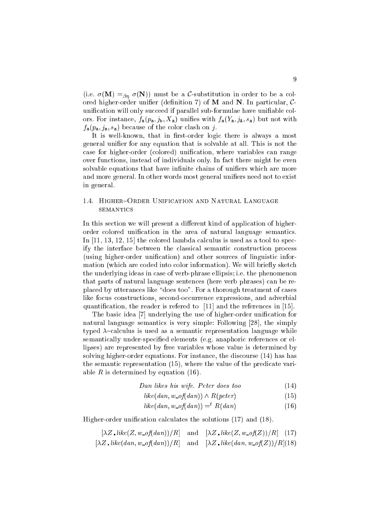(i.e.  $\sigma(\mathbf{M}) =_{\beta\eta} \sigma(\mathbf{N})$ ) must be a C-substitution in order to be a colored higher-order unifier (definition 7) of  $M$  and  $N$ . In particular,  $C$ unification will only succeed if parallel sub-formulae have unifiable colors. For instance,  $f_a(p_a, j_b, X_a)$  unifies with  $f_a(Y_a, j_A, s_a)$  but not with  $f_a(p_a, j_a, s_a)$  because of the color clash on j.

It is well-known, that in first-order logic there is always a most general unifier for any equation that is solvable at all. This is not the case for higher-order (colored) unification, where variables can range over fun
tions, instead of individuals only. In fa
t there might be even solvable equations that have infinite chains of unifiers which are more and more general. In other words most general unifiers need not to exist in general.

## 1.4. HIGHER-ORDER UNIFICATION AND NATURAL LANGUAGE **SEMANTICS**

In this section we will present a different kind of application of higherorder colored unification in the area of natural language semantics. In  $[11, 13, 12, 15]$  the colored lambda calculus is used as a tool to specify the interface between the classical semantic construction process (using higher-order unification) and other sources of linguistic information (which are coded into color information). We will briefly sketch the underlying ideas in case of verb-phrase ellipsis; i.e. the phenomenon that parts of natural language senten
es (here verb phrases) an be replaced by utterances like "does too". For a thorough treatment of cases like focus constructions, second-occurrence expressions, and adverbial quantification, the reader is refered to  $[11]$  and the references in [15].

The basic idea [7] underlying the use of higher-order unification for natural language semantics is very simple: Following [28], the simply typed  $\lambda$ -calculus is used as a semantic representation language while semantically under-specified elements (e.g. anaphoric references or ellipses) are represented by free variables whose value is determined by solving higher-order equations. For instance, the discourse (14) has has the semantic representation (15), where the value of the predicate variable R is determined by equation  $(16)$ .

$$
Dan\,\,likes\,\,his\,\,wife.\,\,Peter\,\,does\,\,too\qquad \qquad (14)
$$

$$
like(dan, w \text{=} of (dan)) \land R(peter)
$$
\n
$$
(15)
$$

$$
like(dan, w \t{of}(dan)) = ^{t} R(dan) \qquad (16)
$$

Higher-order unification calculates the solutions (17) and (18).

$$
[\lambda Z \cdot like(Z, w \cdot of (dan))/R] \quad \text{and} \quad [\lambda Z \cdot like(Z, w \cdot of (Z))/R] \quad (17)
$$
  

$$
[\lambda Z \cdot like(dan, w \cdot of (dan))/R] \quad \text{and} \quad [\lambda Z \cdot like(dan, w \cdot of (Z))/R](18)
$$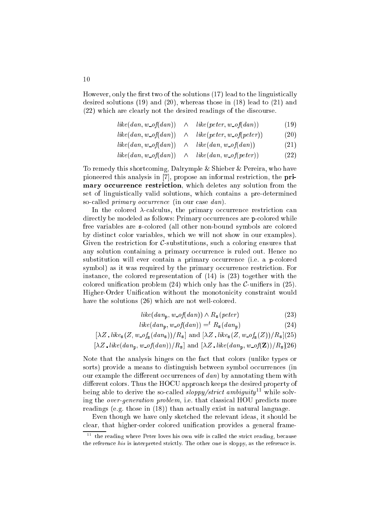However, only the first two of the solutions (17) lead to the linguistically desired solutions (19) and (20), whereas those in (18) lead to (21) and (22) whi
h are learly not the desired readings of the dis
ourse.

$$
like(dan, w \text{=} of (dan)) \quad \land \quad like(peter, w \text{=} of (dan)) \tag{19}
$$

$$
like(dan, w\_of(dan)) \quad \wedge \quad like(peter, w\_of(peter)) \tag{20}
$$

$$
like(dan, w\_of(dan)) \quad \wedge \quad like(dan, w\_of(dan)) \tag{21}
$$

$$
like(dan, w \text{ } of (dan)) \quad \land \quad like(dan, w \text{ } of (peter)) \tag{22}
$$

To remedy this short
oming, Dalrymple & Shieber & Pereira, who have pioneered this analysis in  $[7]$ , propose an informal restriction, the primary occurrence restriction, which deletes any solution from the set of linguistically valid solutions, which contains a pre-determined so-called *primary occurrence* (in our case dan).

In the colored  $\lambda$ -calculus, the primary occurrence restriction can directly be modeled as follows: Primary occurrences are p-colored while free variables are solored (all other non-bound symbols are olored by distin
t olor variables, whi
h we will not show in our examples). Given the restriction for  $\mathcal{C}$ -substitutions, such a coloring ensures that any solution containing a primary occurrence is ruled out. Hence no substitution will ever contain a primary occurrence (i.e. a p-colored symbol) as it was required by the primary occurrence restriction. For instan
e, the olored representation of (14) is (23) together with the colored unification problem  $(24)$  which only has the *C*-unifiers in  $(25)$ . Higher-Order Unification without the monotonicity constraint would have the solutions (26) which are not well-colored.

$$
like(dan_{p}, w\_of(dan)) \wedge R_{s}(peter)
$$
\n(23)

$$
like(dan_{\mathbf{p}}, w\_of(dan)) = ^{t} R_{\mathbf{s}}(dan_{\mathbf{p}})
$$
\n(24)

$$
[\lambda Z \cdot like_{s}(Z, w_{\text{-}of_{s}}(dan_{s}))/R_{s}] \text{ and } [\lambda Z \cdot like_{s}(Z, w_{\text{-}of_{s}}(Z))/R_{s}](25)
$$

$$
[\lambda Z. like(dan_{p}, w\_of(dan))/R_{s}] \text{ and } [\lambda Z. like(dan_{p}, w\_of(\mathbf{Z}))/R_{s}](26)
$$

Note that the analysis hinges on the fact that colors (unlike types or sorts) provide a means to distinguish between symbol occurrences (in our example the different occurrences of  $dan$ ) by annotating them with different colors. Thus the HOCU approach keeps the desired property of being able to derive the so-called  $\textit{slow}$  strict ambiguity<sup>11</sup> while solving the *over-generation problem*, i.e. that classical HOU predicts more readings (e.g. those in  $(18)$ ) than actually exist in natural language.

Even though we have only sket
hed the relevant ideas, it should be clear, that higher-order colored unification provides a general frame-

the reading where Peter loves his own wife is called the strict reading, because the reference his is interpreted strictly. The other one is sloppy, as the reference is.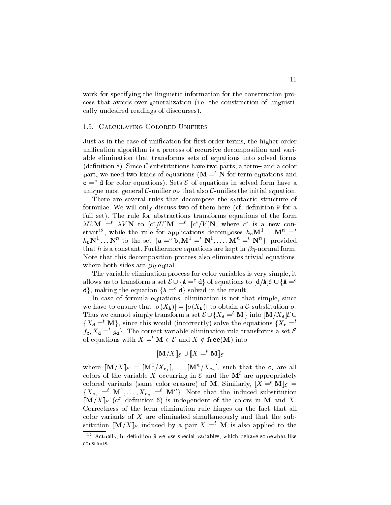work for specifying the linguistic information for the construction proess that avoids over-generalization (i.e. the onstru
tion of linguisti ally undesired readings of dis
ourses).

## 1.5. CALCULATING COLORED UNIFIERS

Just as in the case of unification for first-order terms, the higher-order unification algorithm is a process of recursive decomposition and variable elimination that transforms sets of equations into solved forms (definition 8). Since  $\mathcal{C}$ -substitutions have two parts, a term – and a color part, we need two kinds of equations  $(M = t N$  for term equations and  $c = a$  for color equations). Sets  $c$  of equations in solved form have a unique most general C-unifier  $\sigma_{\mathcal{E}}$  that also C-unifies the initial equation.

There are several rules that decompose the syntactic structure of formulae. We will only discuss two of them here (cf. definition 9 for a full set). The rule for abstractions transforms equations of the form  $\Delta U \cdot \mathbf{M}$  =  $\Delta V \cdot \mathbf{N}$  to  $|U|/|U|$  =  $|U|/|V|$ , where C is a new constant<sup>--</sup>, while the rule for applications decomposes  $n_a$   $M^{\dagger}$ ...  $M^{\dagger} = \tilde{\ }$  $n_{\rm b}$ N<sup>-</sup> ... N<sup>-</sup> to the set {**a** =  $\sigma$ , M<sup>-</sup> = N<sup>-</sup>, ..., M<sup>-</sup> = N<sup>-</sup>}, provided that h is a constant. Furthermore equations are kept in  $\beta\eta$ -normal form. Note that this de
omposition pro
ess also eliminates trivial equations, where both sides are  $\beta$ *n*-equal.

The variable elimination pro
ess for olor variables is very simple, it allows us to transform a set  $\epsilon \cup \{A = \alpha\}$  of equations to  $\alpha / A \epsilon \cup \{A = \alpha\}$  $a<sub>i</sub>$ , making the equation  $a<sub>i</sub>$  =  $a<sub>i</sub>$  solved in the result.

In case of formula equations, elimination is not that simple, since we have to ensure that  $|\sigma(X_A)| = |\sigma(X_B)|$  to obtain a C-substitution  $\sigma$ . Thus we cannot simply transform a set  $\mathcal{E} \cup \{X_{d} = t \mid M\}$  into  $[M/X_{d}] \mathcal{E} \cup$  $\{X_{d} =$ <sup>t</sup> M}, since this would (incorrectly) solve the equations  $\{X_{c} =$ <sup>t</sup>  $f_{\rm c}, \Lambda_{\rm d} \equiv g_{\rm d}$  ). The correct variable elimination rule transforms a set  $\epsilon$ of equations with  $X =^t \mathbf{M} \in \mathcal{E}$  and  $X \notin \mathbf{free}(\mathbf{M})$  into

$$
[\![\mathbf{M}/X]\!]_{\mathcal{E}} \cup [\![X=^t\mathbf{M}]\!]_{\mathcal{E}}
$$

where  $\|\mathbf{M}/\Lambda\|_{\mathcal{E}} = \|\mathbf{M}^{-}/\Lambda_{\mathbf{c}_1}\|, \ldots, |\mathbf{M}^{-}/\Lambda_{\mathbf{c}_n}\|,$  such that the  $\mathsf{c}_i$  are all colors of the variable  $\Lambda$  occurring in  $\varepsilon$  and the Mi are appropriately colored variants (same color erasure) of M. Similarly,  $\llbracket X =^t M \rrbracket_{\mathcal{E}} =$  ${A_{c_1}} = M$ ,  $\ldots, A_{c_n} = M$  }. Note that the induced substitution  $[M/X]_{\mathcal{E}}$  (cf. definition 6) is independent of the colors in M and X. Correctness of the term elimination rule hinges on the fact that all color variants of  $X$  are eliminated simultaneously and that the substitution  $\llbracket \mathbf{M}/X \rrbracket_{\mathcal{E}}$  induced by a pair  $X =^t \mathbf{M}$  is also applied to the

<sup>12</sup> A
tually, in denition 9 we use spe
ial variables, whi
h behave somewhat like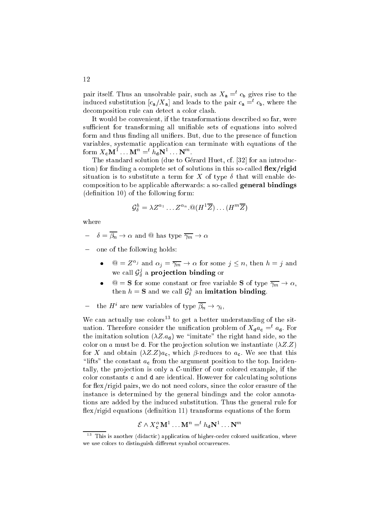pair itself. Thus an unsolvable pair, such as  $A_a = c_b$  gives rise to the induced substitution  $|c_{a}/A_{a}|$  and leads to the pair  $c_{a} = c_{b}$ , where the decomposition rule can detect a color clash.

It would be convenient, if the transformations described so far, were sufficient for transforming all unifiable sets of equations into solved form and thus finding all unifiers. But, due to the presence of function variables, systematic application can terminate with equations of the form  $A_c M^{\dagger}$ ...  $M^{\dagger} \equiv^{\circ} n_d N^{\dagger}$ ...  $N^{\dagger}$ .

The standard solution (due to Gérard Huet, cf. [32] for an introduction) for finding a complete set of solutions in this so-called  $flex/rigid$ situation is to substitute a term for X of type  $\delta$  that will enable decomposition to be applicable afterwards: a so-called general bindings (definition 10) of the following form:

$$
\mathcal{G}_{\delta}^{h} = \lambda Z^{\alpha_1} \dots Z^{\alpha_n} \otimes (H^1 \overline{Z}) \dots (H^m \overline{Z})
$$

where

- $-\delta = \overline{\beta_n} \to \alpha$  and @ has type  $\overline{\gamma_m} \to \alpha$
- one of the following holds:
	- $\bullet$   $\omega = \Delta^{-1}$  and  $\alpha_j = \gamma_m \rightarrow \alpha$  for some  $j \geq n$ , then  $n = j$  and we call  $\mathcal{G}_{\delta}^s$  a **projection binding** or
	- $\mathcal{Q} = \mathbf{S}$  for some constant or free variable **S** of type  $\overline{\gamma_m} \to \alpha$ , then  $n = \mathbf{s}$  and we can  $\mathcal{G}_{\delta}^{\pi}$  an imitation binding.
- $-$  the H are new variables of type  $p_n \to \gamma_i$ ,

We can actually use  $\text{colors}^{13}$  to get a better understanding of the situation. Interefore consider the unification problem of  $A_d a_c = a_d$ , for the imitation solution  $(\lambda Z.a_{d})$  we "imitate" the right hand side, so the color on a must be **d**. For the projection solution we instantiate  $(\lambda Z.Z)$ for X and obtain  $(\lambda Z.Z)a_{\rm c}$ , which  $\beta$ -reduces to  $a_{\rm c}$ . We see that this "lifts" the constant  $a_c$  from the argument position to the top. Incidentally, the projection is only a  $C$ -unifier of our colored example, if the color constants c and d are identical. However for calculating solutions for flex/rigid pairs, we do not need colors, since the color erasure of the instan
e is determined by the general bindings and the olor annotations are added by the indu
ed substitution. Thus the general rule for  $flex/rigid$  equations (definition 11) transforms equations of the form

$$
\mathcal{E} \wedge X_{\mathsf{c}}^{\alpha} \mathbf{M}^1 \dots \mathbf{M}^n =^t h_{\mathsf{d}} \mathbf{N}^1 \dots \mathbf{N}^m
$$

This is another (didactic) application of higher-order colored unification, where we use colors to distinguish different symbol occurrences.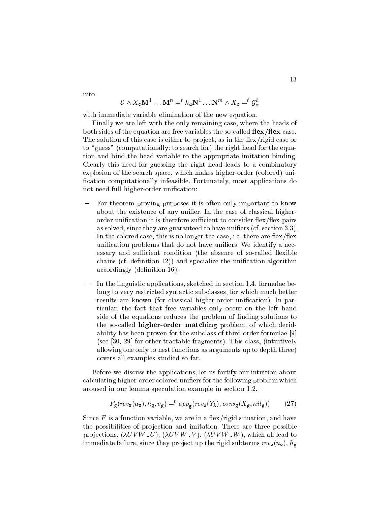into

$$
\mathcal{E} \wedge X_{\mathbf{c}} \mathbf{M}^1 \dots \mathbf{M}^n =^t h_{\mathbf{d}} \mathbf{N}^1 \dots \mathbf{N}^m \wedge X_{\mathbf{c}} =^t \mathcal{G}_{\alpha}^h
$$

with immediate variable elimination of the new equation.

Finally we are left with the only remaining case, where the heads of both sides of the equation are free variables the so-called  $\text{flex}/\text{flex}$  case. The solution of this case is either to project, as in the flex/rigid case or to "guess" (computationally: to search for) the right head for the equation and bind the head variable to the appropriate imitation binding. Clearly this need for guessing the right head leads to a ombinatory explosion of the search space, which makes higher-order (colored) unification computationally infeasible. Fortunately, most applications do not need full higher-order unification:

- For theorem proving purposes it is often only important to know about the existence of any unifier. In the case of classical higherorder unification it is therefore sufficient to consider flex/flex pairs as solved, since they are guaranteed to have unifiers (cf. section 3.3). In the colored case, this is no longer the case, i.e. there are  $flex/flex$ unification problems that do not have unifiers. We identify a necessary and sufficient condition (the absence of so-called flexible chains (cf. definition 12)) and specialize the unification algorithm accordingly (definition 16).
- In the linguistic applications, sketched in section 1.4, formulae belong to very restricted syntactic subclasses, for which much better results are known (for classical higher-order unification). In particular, the fact that free variables only occur on the left hand side of the equations reduces the problem of finding solutions to the so-called **higher-order matching** problem, of which decidability has been proven for the subclass of third-order formulae [9]  $($ see  $[30, 29]$  for other tractable fragments). This class, (intuitively allowing one only to nest functions as arguments up to depth three) overs all examples studied so far.

Before we discuss the applications, let us fortify our intuition about calculating higher-order colored unifiers for the following problem which aroused in our lemma speculation example in section 1.2.

$$
F_{\mathsf{g}}(\operatorname{rev}_{\mathsf{w}}(u_{\mathsf{w}}), h_{\mathsf{g}}, v_{\mathsf{g}}) =^{\operatorname{t}} \operatorname{app}_{\mathsf{g}}(\operatorname{rev}_{\mathsf{B}}(Y_{\mathsf{A}}), \operatorname{cons}_{\mathsf{g}}(X_{\mathsf{g}}, \operatorname{nil}_{\mathsf{g}}))
$$
(27)

Since  $F$  is a function variable, we are in a flex/rigid situation, and have the possibilities of projection and imitation. There are three possible projections,  $(\lambda UVW, U)$ ,  $(\lambda UVW, V)$ ,  $(\lambda UVW, W)$ , which all lead to immediate failure, since they project up the rigid subterms  $rev_{w}(u_{w}), h_{g}$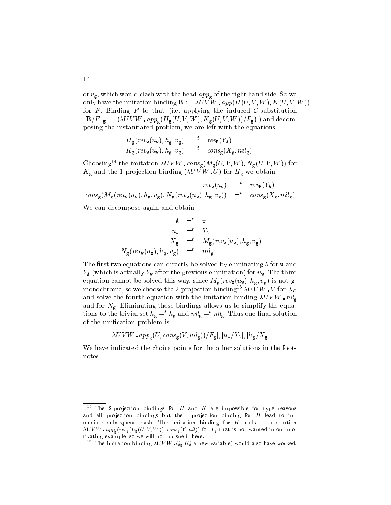or  $v_{\rm g}$ , which would clash with the head  $app_{\rm g}$  of the right hand side. So we only have the imitation binding  $\mathbf{B} := \lambda UVW$  app $(H(U, V, W), K(U, V, W))$ for F. Binding F to that (i.e. applying the induced C-substitution  $[\mathbf{B}/F]_{\mathbf{g}} = [(\lambda UVW \cdot app_{\mathbf{g}}(H_{\mathbf{g}}(U, V, W), K_{\mathbf{g}}(U, V, W))/F_{\mathbf{g}})])$  and decomposing the instantiated problem, we are left with the equations

$$
H_{\mathsf{g}}(rev_{\mathsf{w}}(u_{\mathsf{w}}), h_{\mathsf{g}}, v_{\mathsf{g}}) =t rev_{\mathsf{B}}(Y_{\mathsf{A}})
$$
  

$$
K_{\mathsf{g}}(rev_{\mathsf{w}}(u_{\mathsf{w}}), h_{\mathsf{g}}, v_{\mathsf{g}}) =t cons_{\mathsf{g}}(X_{\mathsf{g}}, nil_{\mathsf{g}}).
$$

Choosing<sup>14</sup> the imitation  $\lambda UVW$  cons<sub>g</sub>( $M_g(U, V, W)$ ,  $N_g(U, V, W)$ ) for  $K_{\rm g}$  and the 1-projection binding ( $\lambda UVW$  U) for  $H_{\rm g}$  we obtain

$$
rev_{\mathbf{w}}(u_{\mathbf{w}}) = t - rev_{\mathbf{B}}(Y_{\mathbf{A}})
$$
  

$$
cons_{\mathbf{g}}(M_{\mathbf{g}}(rev_{\mathbf{w}}(u_{\mathbf{w}}), h_{\mathbf{g}}, v_{\mathbf{g}}), N_{\mathbf{g}}(rev_{\mathbf{w}}(u_{\mathbf{w}}), h_{\mathbf{g}}, v_{\mathbf{g}})) = t - cons_{\mathbf{g}}(X_{\mathbf{g}}, nil_{\mathbf{g}})
$$

We can decompose again and obtain

$$
\begin{array}{rcl}\n\mathbf{A} & =^c \quad \mathbf{w} \\
u_{\mathbf{w}} & =^t \quad Y_{\mathbf{A}} \\
X_{\mathbf{g}} & =^t \quad M_{\mathbf{g}}(\text{rev}_{\mathbf{w}}(u_{\mathbf{w}}), h_{\mathbf{g}}, v_{\mathbf{g}}) \\
N_{\mathbf{g}}(\text{rev}_{\mathbf{w}}(u_{\mathbf{w}}), h_{\mathbf{g}}, v_{\mathbf{g}}) & =^t \quad \text{nil}_{\mathbf{g}}\n\end{array}
$$

The first two equations can directly be solved by eliminating **A** for **w** and  $Y_{\rm A}$  (which is actually  $Y_{\rm w}$  after the previous elimination) for  $u_{\rm w}$ . The third equation cannot be solved this way, since  $M_{\rm g}(rev_{\rm w}(u_{\rm w}), h_{\rm g}, v_{\rm g})$  is not gmonochrome, so we choose the 2-projection binding<sup>15</sup>  $\lambda U \overline{V} \overline{W}$ .  $V$  for  $X_c$ and solve the fourth equation with the imitation binding  $\lambda UVW$  nil<sub>g</sub> and for  $N_{\rm g}$ . Eliminating these bindings allows us to simplify the equations to the trivial set  $n_g = n_g$  and  $n u_g = n u_g$ . Thus one final solution of the unification problem is

$$
[\lambda UVW \cdot app_{\mathbf{g}}(U, cons_{\mathbf{g}}(V, nil_{\mathbf{g}}))/F_{\mathbf{g}}], [u_{\mathbf{w}}/Y_{\mathbf{A}}], [h_{\mathbf{g}}/X_{\mathbf{g}}]
$$

We have indicated the choice points for the other solutions in the footnotes.

The 2-projection bindings for  $H$  and  $K$  are impossible for type reasons and all projection bindings but the 1-projection binding for  $H$  lead to immediate subsequent lash. The imitation binding for <sup>H</sup> leads to a solution U V W APPG(VINS) TALLY) \* J / Y / / J PH AND IS NOT THAT IS NOT THAT IS NOT THAT IS NOT WANTED IN OUR MANAGEMENT tivating example, so we will not pursue it here.

The imitation binding  $\lambda UV W$   $Q_g$  (Q a new variable) would also have worked.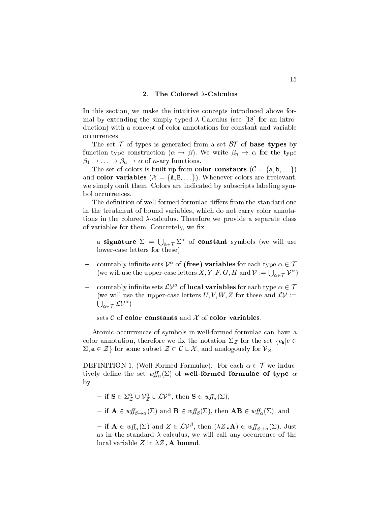## 2. The Colored  $\lambda$ -Calculus

In this section, we make the intuitive concepts introduced above formal by extending the simply typed  $\lambda$ -Calculus (see [18] for an introduction) with a concept of color annotations for constant and variable occurrences.

The set  $\mathcal T$  of types is generated from a set  $\mathcal B\mathcal T$  of **base types** by function type construction  $(\alpha \to \beta)$ . We write  $\overline{\beta_n} \to \alpha$  for the type  $\beta_1 \to \ldots \to \beta_n \to \alpha$  of *n*-ary functions.

The set of colors is built up from **color constants** ( $C = \{a, b, ...\}$ ) and color variables  $(\mathcal{X} = \{A, B, \ldots\})$ . Whenever colors are irrelevant, we simply omit them. Colors are indicated by subscripts labeling symbol occurrences.

The definition of well-formed formulae differs from the standard one in the treatment of bound variables, whi
h do not arry olor annotations in the colored  $\lambda$ -calculus. Therefore we provide a separate class of variables for them. Concretely, we fix

- $\sim$  signature  $\sim$  signature  $\sim$  $\bigcup_{\alpha\in\mathcal{T}}\Sigma^\alpha$  of **constant** symbols (we will use lowerase letters for these)
- $\sim$  countably infinite sets  $V^{\perp}$  of (free) variables for each type  $\alpha \in V$ (we will use the upper-case letters X, Y, F, G, H and  $\mathcal{V} := \bigcup_{\alpha \in \mathcal{T}} \mathcal{V}^{\alpha}$ )
- $\sim$  countably infinite sets  $LV^{\perp}$  of **local variables** for each type  $\alpha \in V$ (we will use the upper-case letters U, V, W, Z for these and  $\mathcal{L}V :=$  $\bigcup_{\alpha \in \mathcal{T}} \mathcal{L} \mathcal{V}^\alpha)$
- sets  $C$  of color constants and  $X$  of color variables.

Atomic occurrences of symbols in well-formed formulae can have a color annotation, therefore we fix the notation  $\Sigma_{\mathcal{Z}}$  for the set  $\{c_{a} | c \in$  $\Sigma, \mathbf{a} \in \mathcal{Z}$  for some subset  $\mathcal{Z} \subset \mathcal{C} \cup \mathcal{X}$ , and analogously for  $\mathcal{V}_{\mathcal{Z}}$ .

DEFINITION 1. (Well-Formed Formulae). For each  $\alpha \in \mathcal{T}$  we inductively define the set  $\mathit{wff}_{\alpha}(\Sigma)$  of well-formed formulae of type  $\alpha$ by

- if 
$$
\mathbf{S} \in \Sigma^{\alpha}_{\mathcal{Z}} \cup \mathcal{V}^{\alpha}_{\mathcal{Z}} \cup \mathcal{L} \mathcal{V}^{\alpha}
$$
, then  $\mathbf{S} \in \mathit{wff}_{\alpha}(\Sigma)$ ,

- if  $\mathbf{A} \in \mathit{wf}_{\beta \to \alpha}(\Sigma)$  and  $\mathbf{B} \in \mathit{wf}_{\beta}(\Sigma)$ , then  $\mathbf{AB} \in \mathit{wf}_{\alpha}(\Sigma)$ , and

 $-$  if  $A \in w_{J\!J\alpha}(\Sigma)$  and  $Z \in L^p$ , then  $(\lambda Z \cdot A) \in w_{J\!J\beta \rightarrow \alpha}(\Sigma)$ . Just as in the standard  $\lambda$ -calculus, we will call any occurrence of the local variable Z in  $\lambda Z$ . A bound.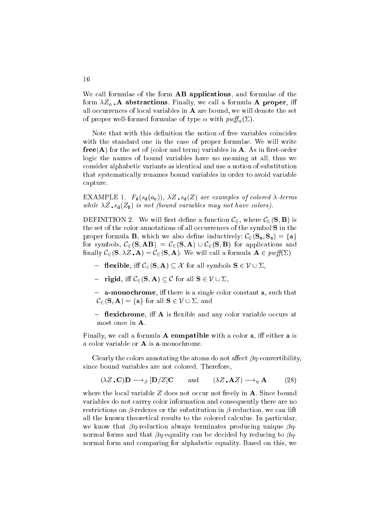We call formulae of the form **AB applications**, and formulae of the form  $\lambda Z_{\alpha}$ . A abstractions. Finally, we call a formula A proper, iff all occurrences of local variables in  $A$  are bound, we will denote the set of proper well-formed formulae of type  $\alpha$  with  $\text{p wff}_{\alpha}(\Sigma)$ .

Note that with this definition the notion of free variables coincides with the standard one in the ase of proper formulae. We will write  $free(A)$  for the set of (color and term) variables in A. As in first-order logi the names of bound variables have no meaning at all, thus we onsider alphabeti variants as identi
al and use a notion of substitution that systemati
ally renames bound variables in order to avoid variable apture.

EXAMPLE 1.  $F_{\mathbf{A}}(s_{\mathbf{d}}(a_{\mathbf{c}}))$ ,  $\lambda Z \cdot s_{\mathbf{d}}(Z)$  are examples of colored  $\lambda$ -terms while  $\mathcal{Q}$  is not have not have not have not have not have not have not have not have not have not have no

DEFINITION 2. We will first define a function  $\mathcal{C}_{\in}$ , where  $\mathcal{C}_{\in}(\mathbf{S}, \mathbf{B})$  is the set of the color annotations of all occurrences of the symbol S in the proper formula **B**, which we also define inductively:  $\mathcal{C}_{\epsilon}(\mathbf{S}_{a}, \mathbf{S}_{a}) = \{a\}$ for symbols,  $\mathcal{C}_{\in}$  (**S**, **AB**) =  $\mathcal{C}_{\in}$  (**S**, **A**)  $\cup$   $\mathcal{C}_{\in}$  (**S**, **B**) for applications and finally  $\mathcal{C}_{\in}(\mathbf{S}, \lambda Z \cdot \mathbf{A}) = \mathcal{C}_{\in}(\mathbf{S}, \mathbf{A})$ . We will call a formula  $\mathbf{A} \in \text{rwff}(\Sigma)$ 

- flexible, iff  $\mathcal{C}_{\in}(\mathbf{S}, \mathbf{A}) \subseteq \mathcal{X}$  for all symbols  $\mathbf{S} \in \mathcal{V} \cup \Sigma$ ,
- rigid, iff  $\mathcal{C}_{\in}(S, A) \subseteq \mathcal{C}$  for all  $S \in \mathcal{V} \cup \Sigma$ ,
- a-monochrome, iff there is a single color constant a, such that  $\mathcal{C}_{\in}(\mathbf{S}, \mathbf{A}) = \{\mathbf{a}\}\$ for all  $\mathbf{S} \in \mathcal{V} \cup \Sigma$ , and
- $\blacksquare$  flexichrome, iff A is flexible and any color variable occurs at most once in **A**.

Finally, we call a formula  $A$  compatible with a color  $a$ , iff either  $a$  is a olor variable or A is a-mono
hrome.

Clearly the colors annotating the atoms do not affect  $\beta\eta$ -convertibility, since bound variables are not colored. Therefore,

$$
(\lambda Z \cdot \mathbf{C}) \mathbf{D} \longrightarrow_{\beta} [\mathbf{D}/Z] \mathbf{C} \quad \text{and} \quad (\lambda Z \cdot \mathbf{A}Z) \longrightarrow_{\eta} \mathbf{A} \tag{28}
$$

where the local variable  $Z$  does not occur not freely in  $A$ . Since bound variables do not arrry olor information and onsequently there are no restrictions on  $\beta$ -redexes or the substitution in  $\beta$ -reduction, we can lift all the known theoretical results to the colored calculus. In particular, we know that  $\beta\eta$ -reduction always terminates producing unique  $\beta\eta$ normal forms and that  $\beta\eta$ -equality can be decided by reducing to  $\beta\eta$ normal form and omparing for alphabeti equality. Based on this, we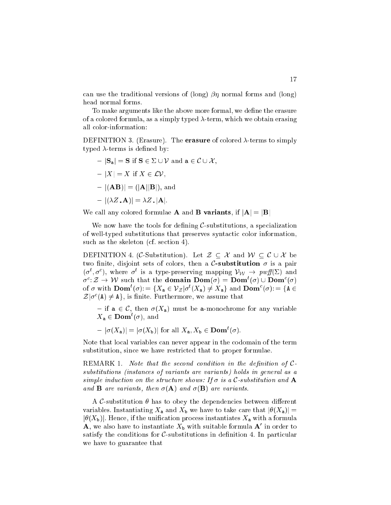can use the traditional versions of (long)  $\beta\eta$  normal forms and (long) head normal forms.

To make arguments like the above more formal, we define the erasure of a colored formula, as a simply typed  $\lambda$ -term, which we obtain erasing all olor-information:

DEFINITION 3. (Erasure). The **erasure** of colored  $\lambda$ -terms to simply typed  $\lambda$  terms is defined by:

$$
-|\mathbf{S}_a| = \mathbf{S} \text{ if } \mathbf{S} \in \Sigma \cup \mathcal{V} \text{ and } \mathbf{a} \in \mathcal{C} \cup \mathcal{X},
$$

 $\vert X \vert = X$  if  $X \in \mathcal{LV}$ ,

$$
- \, |(\mathbf{A}\mathbf{B})| = (|\mathbf{A}||\mathbf{B}|), \text{ and}
$$

$$
- |(\lambda Z \cdot \mathbf{A})| = \lambda Z \cdot |\mathbf{A}|.
$$

We call any colored formulae **A** and **B** variants, if  $|A| = |B|$ 

We now have the tools for defining  $\mathcal{C}$ -substitutions, a specialization of well-typed substitutions that preserves syntactic color information, such as the skeleton (cf. section 4).

DEFINITION 4. (C-Substitution). Let  $\mathcal{Z} \subseteq \mathcal{X}$  and  $\mathcal{W} \subseteq \mathcal{C} \cup \mathcal{X}$  be two finite, disjoint sets of colors, then a C-substitution  $\sigma$  is a pair  $(\sigma, \sigma)$ , where  $\sigma$  is a type-preserving mapping  $\nu_{\mathcal{W}} \to \nu_{\mathcal{W}}$  and  $\sigma$ :  $\mathcal{Z} \rightarrow VV$  such that the **domain Dom**( $\sigma$ ) = **Dom**( $\sigma$ )  $\cup$  **Dom**( $\sigma$ ) of  $\sigma$  with **Dom**  $(\sigma)$ :  $= \{A_a \in V_{\mathcal{Z}} | \sigma^*(A_a) \neq A_a\}$  and **Dom**  $(\sigma)$ :  $= \{A \in V_{\mathcal{Z}} | \sigma^*(A_a) \neq A_a\}$  $\mathcal{Z}[\sigma](A) \neq A$ , is nime. Furthermore, we assume that

- if  $a \in \mathcal{C}$ , then  $\sigma(X_a)$  must be a-monochrome for any variable  $\Lambda_a \in \mathbf{Dom}(\sigma)$ , and

 $= |\sigma(\Lambda_a)| = |\sigma(\Lambda_b)|$  for all  $\Lambda_a, \Lambda_b \in \textbf{Dom}(\sigma)$ .

Note that lo
al variables an never appear in the odomain of the term substitution, sin
e we have restri
ted that to proper formulae.

REMARK 1. Note that the second condition in the definition of  $C$ substitutions (instan
es of variants are variants) holds in general as <sup>a</sup> simple indu
tion on the stru
ture shows: If is <sup>a</sup> <sup>C</sup>-substitution and A and B are variants, then the pool and the post then the variants.

A C-substitution  $\theta$  has to obey the dependencies between different variables. Instantiating  $X_a$  and  $X_b$  we have to take care that  $|\theta(X_a)| =$  $|\theta(X_{\rm b})|$ . Hence, if the unification process instantiates  $X_{\rm a}$  with a formula  ${\bf A},$  we also have to instantiate  $A_{\rm b}$  with suitable formula  ${\bf A}$  in order to satisfy the conditions for  $C$ -substitutions in definition 4. In particular we have to guarantee that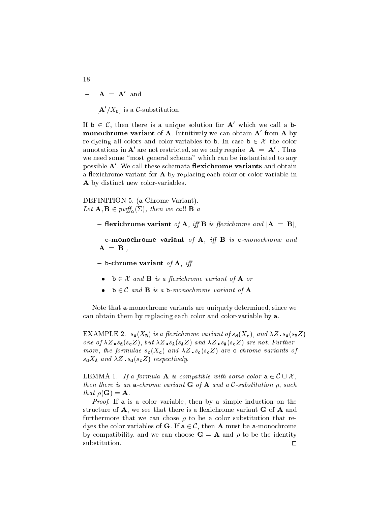- $= |A| = |A|$  and
- $=$   $|\mathbf{A}/A_{\mathsf{b}}|$  is a C-substitution.

If  $b \in C$ , then there is a unique solution for  $A$  which we call a bmonochrome variant of  $A$ . Intuitively we can obtain  $A$  from  $A$  by re-dyeing all colors and color-variables to b. In case  $b \in \mathcal{X}$  the color annotations in  ${\bf A}$  are not restricted, so we only require  $|{\bf A}|=|{\bf A}|$  . Thus we need some "most general schema" which can be instantiated to any possible **A**. We call these schemata **nexichrome variants** and obtain a flexichrome variant for **A** by replacing each color or color-variable in A by distinct new color-variables.

DEFINITION 5. (a-Chrome Variant).  $\frac{1}{2}$  =  $\frac{1}{2}$  pw  $\frac{1}{2}$   $\frac{1}{2}$   $\frac{1}{2}$   $\frac{1}{2}$   $\frac{1}{2}$   $\frac{1}{2}$   $\frac{1}{2}$   $\frac{1}{2}$   $\frac{1}{2}$   $\frac{1}{2}$   $\frac{1}{2}$   $\frac{1}{2}$   $\frac{1}{2}$   $\frac{1}{2}$   $\frac{1}{2}$   $\frac{1}{2}$   $\frac{1}{2}$   $\frac{1}{2}$   $\frac{1}{2}$   $\frac{1}{$ 

- flexichrome variant of A, iff B is flexichrome and  $|A| = |B|$ ,
- c-monochrome variant of A, iff B is c-monochrome and  $|\mathbf{A}| = |\mathbf{B}|,$

- b-chrome variant of A, iff

- $\mathbf{b} \in \mathcal{X}$  and  $\mathbf{B}$  is a flexichrome variant of  $\mathbf{A}$  or
- $\mathbf{b} \in \mathcal{C}$  and  $\mathbf{B}$  is a  $\mathbf{b}$ -monochrome variant of  $\mathbf{A}$

Note that a-mono
hrome variants are uniquely determined, sin
e we can obtain them by replacing each color and color-variable by a.

EXAMPLE 2.  $s_A(X_B)$  is a flexichrome variant of  $s_d(X_c)$ , and  $\lambda Z$ ,  $s_A(s_B Z)$ one of Z), and Z), and Z safety and Z safety and Z safety and Z safety and Z safety and Z safety and Z safety more, the formulae s
(X
) and Z s
(s
Z) are hrome variants of  $s_{d}X_{A}$  and  $\lambda Z$   $s_{d}(s_{c}Z)$  respectively.

LEMMA 1. If a formula **A** is compatible with some color  $a \in \mathcal{C} \cup \mathcal{X}$ , then there is an an annually continued as a particle with the substitution  $\mathbb{P}^1$  and a  $\cdots$   $\cdots$   $\cdots$   $\cdots$ 

Proof. If a is a olor variable, then by a simple indu
tion on the structure of  $A$ , we see that there is a flexichrome variant  $G$  of  $A$  and furthermore that we can chose  $\rho$  to be a color substitution that redyes the color variables of **G**. If  $a \in \mathcal{C}$ , then **A** must be a-monochrome by compatibility, and we can choose  $\mathbf{G} = \mathbf{A}$  and  $\rho$  to be the identity substitution.

18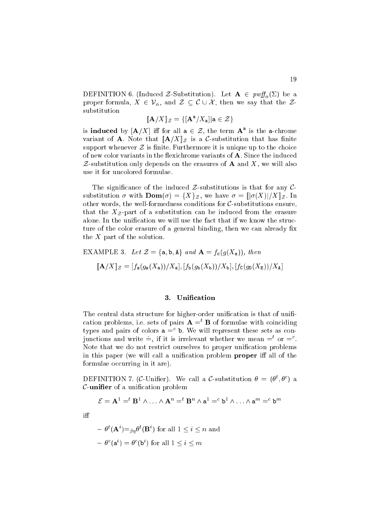DEFINITION 6. (Induced Z-Substitution). Let  $\mathbf{A} \in \text{rwff}_{\alpha}(\Sigma)$  be a proper formula,  $X \in \mathcal{V}_{\alpha}$ , and  $\mathcal{Z} \subseteq \mathcal{C} \cup \mathcal{X}$ , then we say that the  $\mathcal{Z}$ substitution

$$
[\![\mathbf{A}/X]\!]_{\mathcal{Z}} = \{ [\mathbf{A}^{\mathbf{a}}/X_{\mathbf{a}}] | \mathbf{a} \in \mathcal{Z} \}
$$

is induced by  $|A/A|$  in for all  $a \in \mathcal{Z}$ , the term  $A^-$  is the a-chrome variant of **A**. Note that  $\llbracket \mathbf{A}/X \rrbracket_{\mathcal{Z}}$  is a C-substitution that has finite support whenever  $\mathcal Z$  is finite. Furthermore it is unique up to the choice of new color variants in the flexichrome variants of A. Since the induced  $Z$ -substitution only depends on the erasures of **A** and X, we will also use it for un
olored formulae.

The significance of the induced  $\mathcal{Z}$ -substitutions is that for any  $\mathcal{C}$ substitution  $\sigma$  with  $\text{Dom}(\sigma) = \{X\}_{\mathcal{Z}}$ , we have  $\sigma = [|\sigma(X)|/X]_{\mathcal{Z}}$ . In other words, the well-formedness conditions for  $C$ -substitutions ensure, that the  $X_{\mathcal{Z}}$ -part of a substitution can be induced from the erasure alone. In the unification we will use the fact that if we know the structure of the color erasure of a general binding, then we can already fix the <sup>X</sup> part of the solution.

EXAMPLE 3. Let 
$$
Z = \{a, b, A\}
$$
 and  $\mathbf{A} = f_c(g(X_a))$ , then  
\n
$$
[\mathbf{A}/X]_Z = [f_a(g_a(X_a))/X_a], [f_b(g_b(X_b))/X_b], [f_c(g_b(X_E))/X_A]
$$

## 3. Unification

The central data structure for higher-order unification is that of unification problems, i.e. sets of pairs  $\mathbf{A} =$ <sup>t</sup> **B** of formulae with coinciding types and pairs of colors  $a = b$ . We will represent these sets as conjunctions and write  $\equiv$ , if it is irrelevant whether we mean  $=$  or  $=$   $\infty$ . Note that we do not restrict ourselves to proper unification problems in this paper (we will call a unification problem proper iff all of the formulae occurring in it are).

DEFINITION *(*, (C-Uniner). We can a C-substitution  $\sigma = (\sigma^*, \sigma^*)$  a  $\mathcal{C}$ -unifier of a unification problem

$$
\mathcal{E} = \mathbf{A}^1 =^t \mathbf{B}^1 \wedge \ldots \wedge \mathbf{A}^n =^t \mathbf{B}^n \wedge \mathbf{a}^1 =^c \mathbf{b}^1 \wedge \ldots \wedge \mathbf{a}^m =^c \mathbf{b}^m
$$

iff

$$
- \theta^t (\mathbf{A}^i) =_{\beta \eta} \theta^t (\mathbf{B}^i) \text{ for all } 1 \le i \le n \text{ and}
$$

$$
- \theta^c (\mathbf{a}^i) = \theta^c (\mathbf{b}^i) \text{ for all } 1 \le i \le m
$$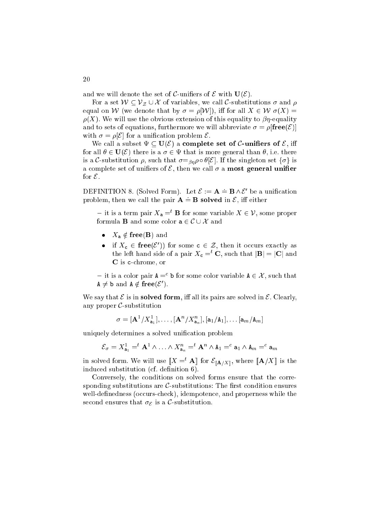and we will denote the set of C-unifiers of  $\mathcal E$  with  $\mathbf U(\mathcal E)$ .

For a set  $W \subseteq V_{\mathcal{Z}} \cup \mathcal{X}$  of variables, we call C-substitutions  $\sigma$  and  $\rho$ equal on W (we denote that by  $\sigma = \rho[\mathcal{W}]$ ), iff for all  $X \in \mathcal{W}$   $\sigma(X) =$  $\rho(X)$ . We will use the obvious extension of this equality to  $\beta\eta$ -equality and to sets of equations, furthermore we will abbreviate  $\sigma = \rho[\mathbf{free}(\mathcal{E})]$ with  $\sigma = \rho[\mathcal{E}]$  for a unification problem  $\mathcal{E}$ .

We call a subset  $\Psi \subseteq \mathbf{U}(\mathcal{E})$  a complete set of C-unifiers of  $\mathcal{E}$ , iff for all  $\theta \in U(\mathcal{E})$  there is a  $\sigma \in \Psi$  that is more general than  $\theta$ , i.e. there is a C-substitution  $\rho$ , such that  $\sigma =_{\beta\eta}\rho \circ \theta[\mathcal{E}]$ . If the singleton set  $\{\sigma\}$  is a complete set of unifiers of  $\mathcal{E}$ , then we call  $\sigma$  a most general unifier for  $\mathcal{E}$ .

DEFINITION 8. (Solved Form). Let  $\mathcal{E} := \mathbf{A} = \mathbf{B} \wedge \mathcal{E}'$  be a unification problem, then we call the pair  $A = B$  solved in  $\mathcal{E}$ , iff either

- it is a term pair  $X_a =^t \mathbf{B}$  for some variable  $X \in \mathcal{V}$ , some proper formula **B** and some color  $\mathbf{a} \in \mathcal{C} \cup \mathcal{X}$  and

- $X_{\mathbf{a}} \notin \mathbf{free}(\mathbf{B})$  and
- If  $A_c \in \text{tree}(\mathcal{E})$  for some  $c \in \mathcal{Z}$ , then it occurs exactly as the left hand side of a pair  $X_c =^t \mathbf{C}$ , such that  $|\mathbf{B}| = |\mathbf{C}|$  and C is c-chrome, or

 $-$  it is a color pair  $A =$  b for some color variable  $A \in \mathcal{A}$ , such that  $A \neq D$  and  $A \notin \text{tree}(C)$ .

We say that  $\mathcal E$  is in solved form, iff all its pairs are solved in  $\mathcal E$ . Clearly, any proper  $\mathcal{C}$ -substitution

$$
\sigma = [\mathbf{A}^1 / X_{\mathbf{a}_1}^1], \ldots, [\mathbf{A}^n / X_{\mathbf{a}_n}^n], [\mathbf{a}_1 / \mathbf{A}_1], \ldots, [\mathbf{a}_m / \mathbf{A}_m]
$$

uniquely determines a solved unification problem

$$
\mathcal{E}_{\sigma} = X_{\mathbf{a}_1}^1 =^t \mathbf{A}^1 \wedge \ldots \wedge X_{\mathbf{a}_n}^n =^t \mathbf{A}^n \wedge \mathbf{A}_1 =^c \mathbf{a}_1 \wedge \mathbf{A}_m =^c \mathbf{a}_m
$$

in solved form. We will use  $\mathbb{A} = \mathbf{A}$  for  $\mathcal{L}[\mathbf{A}/X]$ , where  $\mathbb{A}/X$  is the induced substitution (cf. definition 6).

Conversely, the conditions on solved forms ensure that the corresponding substitutions are  $C$ -substitutions: The first condition ensures well-definedness (occurs-check), idempotence, and properness while the second ensures that  $\sigma_{\mathcal{E}}$  is a C-substitution.

20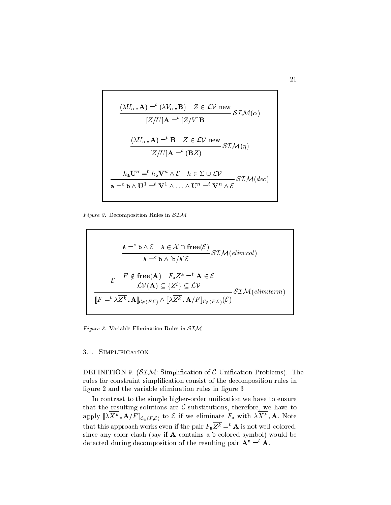$$
\frac{(\lambda U_{\alpha} \cdot \mathbf{A}) = ^{t} (\lambda V_{\alpha} \cdot \mathbf{B}) \quad Z \in \mathcal{L} \mathcal{V} \text{ new}}{[Z/U] \mathbf{A} = ^{t} [Z/V] \mathbf{B}} \mathcal{SLM}(\alpha)
$$
\n
$$
\frac{(\lambda U_{\alpha} \cdot \mathbf{A}) = ^{t} \mathbf{B} \quad Z \in \mathcal{L} \mathcal{V} \text{ new}}{[Z/U] \mathbf{A} = ^{t} (\mathbf{B}Z)} \mathcal{SLM}(\eta)
$$
\n
$$
h_{\mathbf{a}} \overline{\mathbf{U}^{n}} = ^{t} h_{\mathbf{b}} \overline{\mathbf{V}^{n}} \wedge \mathcal{E} \quad h \in \Sigma \cup \mathcal{LV}
$$
\n
$$
\mathbf{a} = ^{c} \mathbf{b} \wedge \mathbf{U}^{1} = ^{t} \mathbf{V}^{1} \wedge \ldots \wedge \mathbf{U}^{n} = ^{t} \mathbf{V}^{n} \wedge \mathcal{E} \mathcal{SLM}(dec)
$$

Figure 2. Decomposition Rules in  $SIM$ 

$$
\mathbf{A} =^c \mathbf{b} \wedge \mathcal{E} \quad \mathbf{A} \in \mathcal{X} \cap \mathbf{free}(\mathcal{E})
$$
  
\n
$$
\mathbf{A} =^c \mathbf{b} \wedge [\mathbf{b}/\mathbf{A}]\mathcal{E}
$$
  
\n
$$
\mathcal{E} \qquad \mathbf{F} \notin \mathbf{free}(\mathbf{A}) \quad F_{\mathbf{a}} \overline{Z^k} =^t \mathbf{A} \in \mathcal{E}
$$
  
\n
$$
\mathcal{L}\mathcal{V}(\mathbf{A}) \subseteq \{Z^i\} \subseteq \mathcal{L}\mathcal{V}
$$
  
\n
$$
\mathbb{F} =^t \lambda \overline{Z^k} \cdot \mathbf{A} \rbrack_{\mathcal{C}_{\in}(F,\mathcal{E})} \wedge \lbrack \lbrack \lambda \overline{Z^k} \cdot \mathbf{A}/F \rbrack_{\mathcal{C}_{\in}(F,\mathcal{E})} \mathcal{S}\mathcal{I}\mathcal{M}(\text{elim:term})
$$

Figure 3. Variable Elimination Rules in  $SIM$ 

## 3.1. SIMPLIFICATION

DEFINITION 9.  $(SIM: Simplification of C-Uniform fractions)$ . The rules for constraint simplification consist of the decomposition rules in figure 2 and the variable elimination rules in figure 3

In contrast to the simple higher-order unification we have to ensure that the resulting solutions are  $C$ -substitutions, therefore, we have to apply  $\llbracket \Delta \mathbf{A} + \mathbf{A} \rangle \mathbf{F} \rrbracket_{\mathcal{C}_{\epsilon}(F,\mathcal{E})}$  to  $\epsilon$  if we eliminate  $\mathbf{F}_{\mathbf{a}}$  with  $\Delta \mathbf{A} + \mathbf{A}$ . Note that this approach works even if the pair  $F_a \overline{Z^k} = t$  **A** is not well-colored, since any color clash (say if **A** contains a b-colored symbol) would be detected during decomposition of the resulting pair  ${\bf A} \; \equiv \; {\bf A}.$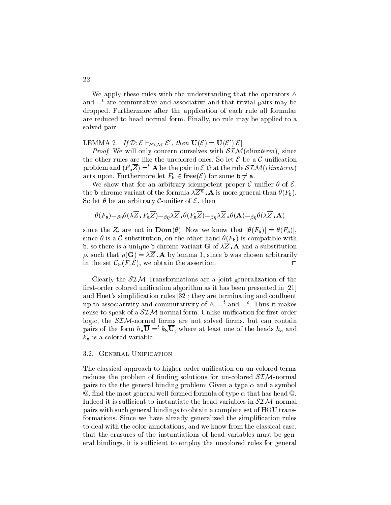We apply these rules with the understanding that the operators  $\wedge$ and =<sup>t</sup> are ommutative and asso
iative and that trivial pairs may be dropped. Furthermore after the appli
ation of ea
h rule all formulae are redu
ed to head normal form. Finally, no rule may be applied to a solved pair.

LEMMA 2. If  $D: \mathcal{L} \cap \mathcal{SIM} \mathcal{L}$ , then  $\mathbf{U}(\mathcal{L}) = \mathbf{U}(\mathcal{L}) |\mathcal{L}|$ .

Proof. We will only on
ern ourselves with SIM(elim:term), sin
e the other rules are like the uncolored ones. So let  $\mathcal E$  be a  $\mathcal C$ -unification problem and  $(F_a \overline{Z}) =$ <sup>t</sup> **A** be the pair in  $\mathcal E$  that the rule  $\mathcal{SIM}(elim:term)$ acts upon. Furthermore let  $F_{\mathbf{b}} \in \mathbf{free}(\mathcal{E})$  for some  $\mathbf{b} \neq \mathbf{a}$ .

We show that for an arbitrary idempotent proper C-unifier  $\theta$  of  $\mathcal{E}$ , the b-chrome variant of the formula  $\lambda \overline{Z^n}$ . A is more general than  $\theta(F_{\rm b})$ . So let  $\theta$  be an arbitrary C-unifier of  $\mathcal{E}$ , then

$$
\theta(F_{\mathbf{a}}) =_{\beta\eta} \theta(\lambda \overline{Z} \cdot F_{\mathbf{a}} \overline{Z}) =_{\beta\eta} \lambda \overline{Z} \cdot \theta(F_{\mathbf{a}} \overline{Z}) =_{\beta\eta} \lambda \overline{Z} \cdot \theta(\mathbf{A}) =_{\beta\eta} \theta(\lambda \overline{Z} \cdot \mathbf{A})
$$

since the  $Z_i$  are not in  $\text{Dom}(\theta)$ . Now we know that  $|\theta(F_{\text{b}})| = \theta(F_{\text{a}})|$ , since  $\theta$  is a C-substitution, on the other hand  $\theta(F_b)$  is compatible with **b**, so there is a unique **b**-chrome variant **G** of  $\lambda \overline{Z}$ . **A** and a substitution  $\rho$ , such that  $\rho(\mathbf{G}) = \lambda \overline{Z} \cdot \mathbf{A}$  by lemma 1, since b was chosen arbitrarily in the set  $\mathcal{C}_{\in}(F, \mathcal{E})$ , we obtain the assertion.

Clearly the  $SIM$  Transformations are a joint generalization of the first-order colored unification algorithm as it has been presented in [21] and Huet's simplification rules [32]; they are terminating and confluent up to associativity and commutativity of  $\wedge$ ,  $=$  and  $=$  . Thus it makes sense to speak of a  $SIM$ -normal form. Unlike unification for first-order logic, the SIM-normal forms are not solved forms, but can contain pairs of the form  $n_a$   $\cup$  =  $\kappa_b$   $\cup$ , where at least one of the heads  $n_a$  and  $k_a$  is a colored variable.

## 3.2. GENERAL UNIFICATION

The classical approach to higher-order unification on un-colored terms reduces the problem of finding solutions for un-colored  $SIM$ -normal pairs to the the general binding problem: Given a type  $\alpha$  and a symbol  $\mathcal{Q}_n$ , find the most general well-formed formula of type  $\alpha$  that has head  $\mathcal{Q}_n$ . Indeed it is sufficient to instantiate the head variables in  $SIM$ -normal pairs with su
h general bindings to obtain a omplete set of HOU transformations. Since we have already generalized the simplification rules to deal with the color annotations, and we know from the classical case, that the erasures of the instantiations of head variables must be general bindings, it is sufficient to employ the uncolored rules for general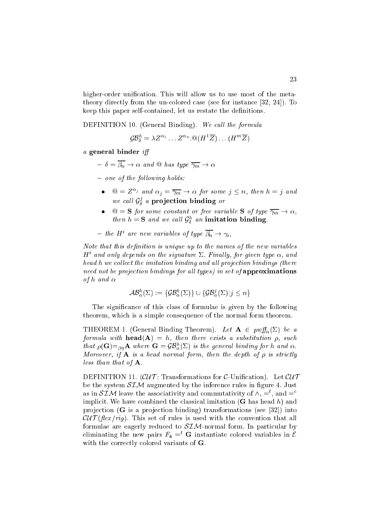higher-order unification. This will allow us to use most of the metatheory directly from the un-colored case (see for instance  $[32, 24]$ ). To keep this paper self-contained, let us restate the definitions.

DEFINITION 10. (General Binding). We call the formula

 $\mathcal{G}\mathcal{B}_{\delta}^{\perp} = \lambda Z^{-1} \ldots Z^{-n}$  .  $\mathbb{Q}(H^{\perp}Z) \ldots (H^{\perp \perp}Z)$ 

a general binder <sup>i</sup>

- $-\delta = \overline{\beta_n} \rightarrow \alpha$  and  $\omega$  has type  $\overline{\gamma_m} \rightarrow \alpha$
- $-$  one of the following holds:
	- $\mathbb{Q} = Z^{\alpha_j}$  and  $\alpha_j = \overline{\gamma_m} \to \alpha$  for some  $j \leq n$ , then  $h = j$  and we call  $\mathcal{G}_{\delta}^s$  a projection binding or
	- $\mathbb{Q} = \mathbf{S}$  for some constant or free variable **S** of type  $\overline{\gamma_m} \to \alpha$ , *then*  $n = 3$  *and we call*  $\mathcal{G}_{\delta}^{x}$  *an* **imitation** binding.

- the 
$$
H^i
$$
 are new variables of type  $\overline{\beta_n} \to \gamma_i$ ,

Note that this denition is unique up to the names of the new variables  $H^+$  and only depends on the signature  $\Sigma$ . Finally, for qiven type  $\alpha,$  and head <sup>h</sup> we ol le
t the imitation binding and al l proje
tion bindings (there tion bindings for projections in set of all the approximations in set of approximations are all the components of the second teachers are and the second second teachers are and the second teachers are and the second teach in the second second teachers are and the second second terms in the second second second terms in the second s

$$
\mathcal{AB}_{\alpha}^{h}(\Sigma) := \{ \mathcal{GB}_{\alpha}^{h}(\Sigma) \} \cup \{ \mathcal{GB}_{\alpha}^{j}(\Sigma) | j \leq n \}
$$

The significance of this class of formulae is given by the following theorem, which is a simple consequence of the normal form theorem.

THEOREM 1. (General Binding Theorem). Let  $A \in \text{put}_{\alpha}(\Sigma)$  be a formula with head(A) = h, then there exists <sup>a</sup> substitution , su
h that  $\rho(\mathbf{G}) = \beta \eta \mathbf{A}$  where  $\mathbf{G} = g \mathbf{D}_{\alpha}(2)$  is the general binding for h and  $\alpha$ . more a set of the depth of the depth of the depth of the depth of the depth of the depth of the depth of the d less than that of A.

DEFINITION 11.  $(CU\mathcal{T})$ : Transformations for C-Unification). Let  $CUT$ be the system  $SIM$  augmented by the inference rules in figure 4. Just as in  $\partial L/\mathcal{N}$  reave the associativity and commutativity of  $\wedge$ ,  $\equiv$  , and  $\equiv$   $\equiv$ implicit. We have combined the classical imitation  $(G$  has head h) and projection  $(G$  is a projection binding) transformations (see [32]) into  $\mathcal{CUT}(\mathit{flex}/\mathit{rig})$ . This set of rules is used with the convention that all formulae are eagerly reduced to  $SIM$ -normal form. In particular by eliminating the new pairs  $F_a =^t G$  instantiate colored variables in  $\mathcal{E}$ with the correctly colored variants of G.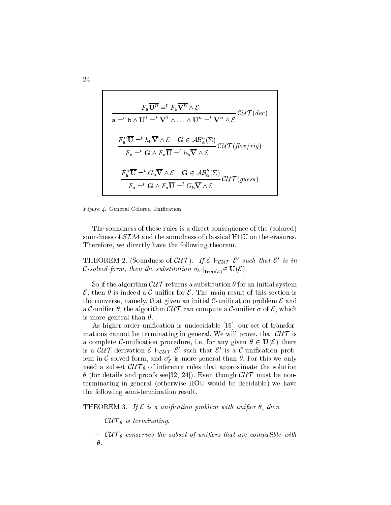$$
F_{\mathbf{a}}\overline{\mathbf{U}^{n}} = ^{t} F_{\mathbf{b}}\overline{\mathbf{V}^{n}} \wedge \mathcal{E}
$$
\n
$$
\mathbf{a} = ^{c} \mathbf{b} \wedge \mathbf{U}^{1} = ^{t} \mathbf{V}^{1} \wedge \ldots \wedge \mathbf{U}^{n} = ^{t} \mathbf{V}^{n} \wedge \mathcal{E}
$$
\n
$$
\frac{F_{\mathbf{a}}^{\alpha}\overline{\mathbf{U}} = ^{t} h_{\mathbf{b}}\overline{\mathbf{V}} \wedge \mathcal{E} \quad \mathbf{G} \in \mathcal{AB}_{\alpha}^{h}(\Sigma)}{F_{\mathbf{a}} = ^{t} \mathbf{G} \wedge F_{\mathbf{a}}\overline{\mathbf{U}} = ^{t} h_{\mathbf{b}}\overline{\mathbf{V}} \wedge \mathcal{E}}
$$
\n
$$
\frac{F_{\mathbf{a}}^{\alpha}\overline{\mathbf{U}} = ^{t} G_{\mathbf{b}}\overline{\mathbf{V}} \wedge \mathcal{E} \quad \mathbf{G} \in \mathcal{AB}_{\alpha}^{h}(\Sigma)}{F_{\mathbf{a}} = ^{t} \mathbf{G} \wedge F_{\mathbf{a}}\overline{\mathbf{U}} = ^{t} G_{\mathbf{b}}\overline{\mathbf{V}} \wedge \mathcal{E}}
$$
\n
$$
U\mathcal{T}(guess)
$$

Figure 4. General Colored Unification

The soundness of these rules is a direct consequence of the (colored) soundness of  $SIM$  and the soundness of classical HOU on the erasures. Therefore, we directly have the following theorem.

**I** HEOREM 2. (SOUNDIESS OF CU I). If  $\epsilon$   $\epsilon_{U}$   $\tau$   $\epsilon$  such that  $\epsilon$  is in  $\mathcal{C}$ -solved form, then the substitution  $\sigma_{\mathcal{E}'}|_{\textbf{free}(\mathcal{E})} \subset \mathbf{C}(\mathcal{C})$ .

So if the algorithm  $\mathcal{CUT}$  returns a substitution  $\theta$  for an initial system  $\mathcal{E}$ , then  $\theta$  is indeed a  $\mathcal{C}$ -unifier for  $\mathcal{E}$ . The main result of this section is the converse, namely, that given an initial C-unification problem  $\mathcal E$  and a C-unifier  $\theta$ , the algorithm  $\mathcal{CUT}$  can compute a C-unifier  $\sigma$  of E, which is more general than  $\theta$ .

As higher-order unification is undecidable  $[16]$ , our set of transformations cannot be terminating in general. We will prove, that  $\mathcal{CUT}$  is a complete C-unification procedure, i.e. for any given  $\theta \in U(\mathcal{E})$  there is a cull-defivation  $\varepsilon$  reutricance is a communition probiem in C-solved form, and  $\sigma_{\mathcal{E}}$  is more general than  $\sigma$ . For this we only need a subset CU T inference that approximate the solution that approximate the solution (for details and proofs see[32, 24℄). Even though CU T must be nonterminating in general (otherwise HOU would be de
idable) we have the following semi-termination result.

THEOREM 3. If  $\mathcal E$  is a unification problem with unifier  $\theta$ , then

- CU T is terminating.
- ever you allow the subset of uniquently compatible with an order  $\theta$ .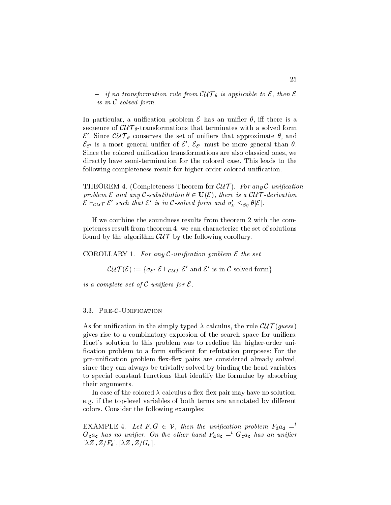if it are transformation rule from  $\mathbf{r}$  and  $\mathbf{r}$  is applied to  $\mathbf{r}$  , then E is in <sup>C</sup>-solved form.

In particular, a unification problem  $\mathcal E$  has an unifier  $\theta$ , iff there is a e of current and  $\alpha$  is the current terminates with the solved formation and the solved formation  $\varepsilon$  . Since  $\omega$  I  $_{\theta}$  conserves the set of unifiers that approximate  $v$ , and  $c_{\mathcal{E}'}$  is a most general unifier of  $c$  ,  $c_{\mathcal{E}'}$  must be more general than  $\sigma$ . Since the colored unification transformations are also classical ones, we directly have semi-termination for the colored case. This leads to the following completeness result for higher-order colored unification.

THEOREM 4. (Completeness Theorem for  $\mathcal{CUT}$ ). For any C-unification problem E and any C-substitution is a C-substitution of the contract of the Cu T  $\sim$  $\varepsilon$   $\tau$  cu  $\tau$   $\varepsilon$  such that  $\varepsilon$  is in  $\mathcal{L}$  -solved form and  $\sigma_{\varepsilon} \leq_{\beta\eta} \sigma_{\lfloor} \varepsilon_{\rfloor}$ .

If we combine the soundness results from theorem 2 with the completeness result from theorem 4, we an hara
terize the set of solutions found by the algorithm  $\mathcal{CUT}$  by the following corollary.

COROLLARY 1. For any C-unification problem  $\mathcal E$  the set

 $\mathcal{U}(U | \mathcal{U}) := \{ \sigma_{\mathcal{E}'} | \mathcal{E} \sqsubset \mathcal{U} \cap \mathcal{U} \in \mathcal{U} \}$  and  $\mathcal{E}$  is in C-solved form  $\}$ 

is <sup>a</sup> omplete set of <sup>C</sup>-uniers for <sup>E</sup>.

#### PRE-C-UNIFICATION 3.3.

As for unification in the simply typed  $\lambda$  calculus, the rule  $\mathcal{CUT}(guess)$ gives rise to a combinatory explosion of the search space for unifiers. Huet's solution to this problem was to redefine the higher-order unification problem to a form sufficient for refutation purposes: For the pre-unification problem flex-flex pairs are considered already solved, sin
e they an always be trivially solved by binding the head variables to spe
ial onstant fun
tions that identify the formulae by absorbing their arguments.

In case of the colored  $\lambda$ -calculus a flex-flex pair may have no solution, e.g. if the top-level variables of both terms are annotated by different olors. Consider the following examples:

EXAMPLE 4. Let  $F, G \in \mathcal{V}$ , then the unification problem  $F_{\mathbf{d}} a_{\mathbf{d}} =$ <sup>t</sup>  $G_{c}a_{c}$  has no unifier. On the other hand  $F_{d}a_{c} = f_{c}a_{c}$  has an unifier  $[\lambda Z \cdot Z/F_{\rm d}], [\lambda Z \cdot Z/G_{\rm c}].$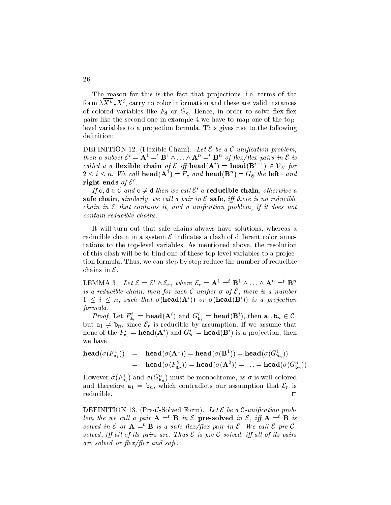The reason for this is the fact that projections, i.e. terms of the form  $\lambda \Lambda^{\kappa}$  ,  $\Lambda^{\kappa}$ , carry no color information and these are valid instances of colored variables like  $F_d$  or  $G_c$ . Hence, in order to solve flex-flex pairs like the se
ond one in example 4 we have to map one of the toplevel variables to a projection formula. This gives rise to the following definition:

DEFINITION 12. (Flexible Chain). Let  $\mathcal E$  be a C-unification problem, then a subset  $\mathcal{E} = \mathbf{A}^- = \mathbf{B}^- \wedge \ldots \wedge \mathbf{A}^- = \mathbf{B}^-$  of  $\eta \in \mathcal{E}$  pairs in  $\mathcal{E}$  is called a a nexible chain of  $\varepsilon$  iff nead( $A^+$ ) = nead( $B^+$ )  $\in V_X$  for  $2 \leq i \leq n$ . We call nead  $(\mathbf{A}^{\dagger}) = F_c$  and nead  $(\mathbf{B}^{\dagger}) = G_d$  the left-and right ends  $\rho_I$   $\varepsilon$  .

If c,  $a \in C$  and  $c \neq a$  then we call c a reductible chain, otherwise a safe chain, similarly, we call a pair in  $\mathcal E$  safe, iff there is no reducible hain in <sup>E</sup> that ontains it, and <sup>a</sup> uni
ation problem, if it does not

It will turn out that safe chains always have solutions, whereas a reducible chain in a system  $\mathcal E$  indicates a clash of different color annotations to the top-level variables. As mentioned above, the resolution of this clash will be to bind one of these top-level variables to a projectortion formula. Thus, we can step by step reduce the number of reducible chains in  $\mathcal{E}$ .

LEMINIA 3. Let  $\mathcal{E} = \mathcal{E} \wedge \mathcal{E}_r$ , where  $\mathcal{E}_r = \mathbf{A}^- = \mathbf{B}^- \wedge \ldots \wedge \mathbf{A}^- = \mathbf{B}^$ is a reduced to the form for the form of the state of the contract and the contract of the contract of the contr  $1 \leq i \leq n$ , such that  $\sigma$ (**nead**(**A**)) or  $\sigma$ (**nead(B**)) is a projection formula.

*Proof.* Let  $F_{a_i}^* = \text{mean}(A^*)$  and  $G_{b_i}^* = \text{mean}(B^*)$ , then  $a_1, b_n \in C$ , but  $a_1 \neq b_n$ , since  $\mathcal{E}_r$  is reducible by assumption. If we assume that none of the  $F_{\mathbf{a}_i} = \textbf{head}( \mathbf{A}^{\top} )$  and  $G_{\mathbf{b}_i} = \textbf{head}( \mathbf{B}^{\top} )$  is a projection, then we have

$$
\begin{array}{lcl} \mathbf{head}(\sigma(F^1_{\mathbf{a}_1})) & = & \mathbf{head}(\sigma(\mathbf{A}^1)) = \mathbf{head}(\sigma(\mathbf{B}^1)) = \mathbf{head}(\sigma(G^1_{\mathbf{b}_n})) \\ \\ & = & \mathbf{head}(\sigma(F^2_{\mathbf{a}_2})) = \mathbf{head}(\sigma(\mathbf{A}^2)) = \ldots = \mathbf{head}(\sigma(G^n_{\mathbf{b}_n})) \end{array}
$$

However  $\sigma(r_{a_1}^r)$  and  $\sigma(G_{b_n}^r)$  must be monochrome, as  $\sigma$  is well-colored and therefore  $a_1 = b_n$ , which contradicts our assumption that  $\mathcal{E}_r$  is  $\Box$ 

DEFINITION 13. (Pre-C-Solved Form). Let  $\mathcal E$  be a C-unification problem the we call a pair  $A = B$  in E pre-solved in E, if  $A = B$  is solved in  $\epsilon$  or  $A = B$  is a safe nex/nex pair in  $\epsilon$ . We call  $\epsilon$  pre-Csolved, if will its pairs are . Thus E its pre-C-solved, if will be an all line pairs ex and safety process the safety and safety

26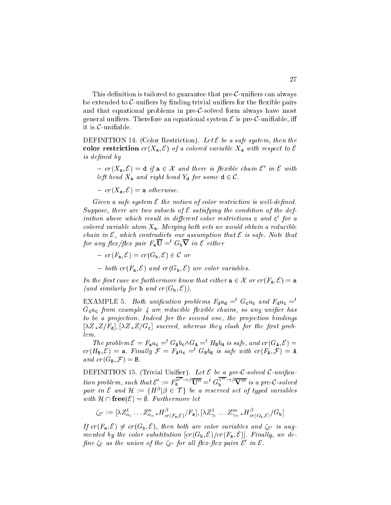This definition is tailored to guarantee that pre- $C$ -unifiers can always be extended to  $\mathcal{C}$ -unifiers by finding trivial unifiers for the flexible pairs and that equational problems in pre-C-solved form always have most general unifiers. Therefore an equational system  $\mathcal E$  is pre-C-unifiable, iff it is  $C$ -unifiable.

DEFINITION 14. (Color Restriction). Let  $\mathcal E$  be a safe system, then the color restriction  $cr(X_a, \mathcal{E})$  of a colored variable  $X_a$  with respect to  $\mathcal E$ is dened by

 $r = c r(\Lambda_a, \mathcal{L}) = a$  if  $a \in \mathcal{L}$  and there is flexible chain  $\mathcal{L}$  in  $\mathcal{L}$  with left head  $\alpha$  and right head Yd for some diagonal  $\alpha$ 

- 
$$
cr(X_{a}, \mathcal{E}) = a \ otherwise.
$$

Given <sup>a</sup> safe system <sup>E</sup> the notion of olor restri
tion is wel l-dened. Suppose, there are two subsets of <sup>E</sup> satisfying the ondition of the definition above which result in afflerent color restrictions **c** and **c** for a olored variable atom Xa. Merginaal politike would obtain a reduced obtained were would hain in <sup>E</sup>, whi
h ontradi
ts our assumption that <sup>E</sup> is safe. Note that for any flex/flex pair  $r_a \cup = \cup_b \vee m$  in Equiner

$$
-cr(F_{a},\mathcal{E})=cr(G_{b},\mathcal{E})\in \mathcal{C} \textit{ or}
$$

- both  $cr(F_a, \mathcal{E})$  and  $cr(G_b, \mathcal{E})$  are color variables.

 $\mathcal{U}$  , and the function that either a 2  $\pm$  2  $\pm$  3  $\pm$  7  $\pm$  3  $\pm$  7  $\pm$  $\alpha$  and similarly for  $\alpha$  and  $\alpha$  and  $\alpha$  and  $\alpha$  and  $\alpha$ 

EXAMPLE 5. Both unification problems  $F_{d}a_{d} = f G_{c}a_{c}$  and  $F_{d}a_{c} = f$  $G_{c}a_{c}$  from example 4 are reducible flexible chains, so any unifier has to be <sup>a</sup> proje
tion. Indeed for the se
ond one, the proje
tion bindings  $[\lambda Z \cdot Z/F_d], [\lambda Z \cdot Z/G_c]$  succeed, whereas they clash for the first prob $lem.$ 

The problem  $\epsilon = \Gamma_a a_c = G_A b_c / G_A = H_B b_d$  is safe, and  $cr(G_A, \epsilon) =$  $cr(H_B, \mathcal{E}) = a$ . Finally  $\mathcal{F} = F_A a_c =^t G_B b_d$  is safe with  $cr(F_A, \mathcal{F}) = A$  $r = r$ ,  $\epsilon$  by  $r$ 

DEFINITION 15. (Trivial Unier). Let <sup>E</sup> be <sup>a</sup> pre-C-solved <sup>C</sup>-uni
ation problem, such that  $\mathcal{E}':=F_{a}^{\alpha-\gamma}U^{n}=\alpha_{b}^{\gamma-\gamma}V^{m}$  is a pre-C-solved pair in  $\epsilon$  and  $\pi := \{ \pi^{\epsilon} | \rho \in I \}$  be a reserved set of typed variables with <sup>H</sup> \ free(E) = ;. Furthermore let

$$
\zeta_{\mathcal{E}'} := [\lambda Z_{\alpha_1}^1 \dots Z_{\alpha_n}^n \cdot H_{cr(F_{\mathbf{a}}, \mathcal{E})}^\beta / F_{\mathbf{a}}], [\lambda Z_{\gamma_1}^1 \dots Z_{\gamma_m}^m \cdot H_{cr(G_{\mathbf{b}}, \mathcal{E})}^\beta / G_{\mathbf{b}}]
$$

 $\mathbf{r}_i$  or  $\mathbf{r}_i = \mathbf{a}_i \mathbf{v}_i$ , then both are both carries and  $\mathbf{v}_i$  are any  $\cdots$  . Final ly, we define the substitution  $\lceil \cdot \rceil$  (will be  $\lceil \cdot \rceil$  and  $\lceil \cdot \rceil$  and  $\lceil \cdot \rceil$ nne  $\zeta_{\mathcal{E}}$  as the union of the  $\zeta_{\mathcal{E}'}$  for all flex-flex pairs  $\zeta$  in  $\zeta$ .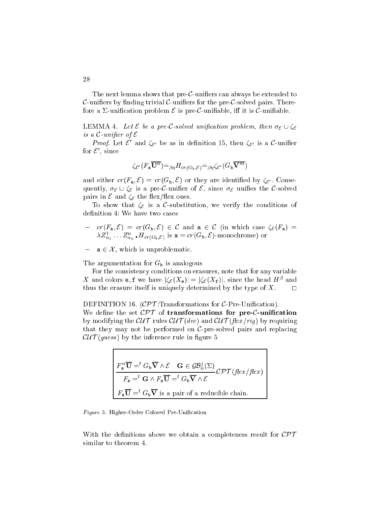The next lemma shows that pre- $C$ -unifiers can always be extended to C-unifiers by finding trivial C-unifiers for the pre-C-solved pairs. Therefore a  $\Sigma$ -unification problem  $\mathcal E$  is pre C-unifiable, iff it is C-unifiable.

LEMMA 4. Let  $\mathcal E$  be a pre-C-solved unification problem, then  $\sigma_{\mathcal E} \cup \zeta_{\mathcal E}$ is a C-united States of E-united States and the E-united States and E-united States and E-united States and E-

*Proof.* Let  $\mathcal{L}$  and  $\zeta_{\mathcal{E}'}$  be as in definition 15, then  $\zeta_{\mathcal{E}'}$  is a C-unifier for  $\varepsilon$  , since

$$
\zeta_{\mathcal{E}'}(F_{\mathbf{a}}\overline{\mathbf{U}^{n}}) =_{\beta\eta} H_{cr(G_{\mathbf{b}},\mathcal{E})} =_{\beta\eta} \zeta_{\mathcal{E}'}(G_{\mathbf{b}}\overline{\mathbf{V}^{m}})
$$

and either  $cr(F_{a}, \mathcal{E}) = cr(G_{b}, \mathcal{E})$  or they are identified by  $\zeta_{\mathcal{E}}$ . Consequently,  $\sigma_{\mathcal{E}} \cup \zeta_{\mathcal{E}}$  is a pre-C-unifier of  $\mathcal{E}$ , since  $\sigma_{\mathcal{E}}$  unifies the C-solved pairs in  $\mathcal E$  and  $\zeta_{\mathcal E}$  the flex/flex ones.

To show that  $\zeta_{\mathcal{E}}$  is a C-substitution, we verify the conditions of definition 4: We have two cases

- $r = cr(F_a, \mathcal{E}) = cr(G_b, \mathcal{E}) \in \mathcal{C}$  and  $a \in \mathcal{C}$  (in which case  $\zeta_{\mathcal{E}}(F_a) =$  $\lambda Z_{\alpha_1} \dots Z_{\alpha_n}$  .  $\pi_{cr(G_{\mathtt{b}},\mathcal{E})}$  is a =  $cr(G_{\mathtt{b}},\mathcal{E})$ -monochrome) or
- $a \in \mathcal{X}$ , which is unproblematic.

The argumentation for  $G_{\rm b}$  is analogous

For the onsisten
y onditions on erasures, note that for any variable  $\Lambda$  and colors e, t we have  $|\zeta_{\mathcal{E}}(\Lambda_e)| = |\zeta_{\mathcal{E}}(\Lambda_f)|$ , since the head  $H^{\circ}$  and thus the erasure itself is uniquely determined by the type of  $X$ .  $\Box$ 

DEFINITION 16.  $(\mathcal{CPT}$ :Transformations for  $\mathcal{C}$ -Pre-Unification).

We define the set  $\mathcal{CPT}$  of transformations for pre-C-unification by modifying the  $\mathcal{CUT}$  rules  $\mathcal{CUT}(dec)$  and  $\mathcal{CUT}(flex/rig)$  by requiring that they may not be performed on  $C$ -pre-solved pairs and replacing  $\mathcal{CUT}(guess)$  by the inference rule in figure 5

$$
F_{\mathbf{a}}^{\alpha} \overline{\mathbf{U}} = ^{t} G_{\mathbf{b}} \overline{\mathbf{V}} \wedge \mathcal{E} \quad \mathbf{G} \in \mathcal{GB}_{\alpha}^{j}(\Sigma)
$$
  
\n
$$
F_{\mathbf{a}} = ^{t} \mathbf{G} \wedge F_{\mathbf{a}} \overline{\mathbf{U}} = ^{t} G_{\mathbf{b}} \overline{\mathbf{V}} \wedge \mathcal{E}
$$
  
\n
$$
F_{\mathbf{a}} \overline{\mathbf{U}} = ^{t} G_{\mathbf{b}} \overline{\mathbf{V}} \text{ is a pair of a reducible chain.}
$$

Figure 5. Higher-Order Colored Pre-Unification

With the definitions above we obtain a completeness result for  $\mathcal{CPT}$ similar to theorem 4.

28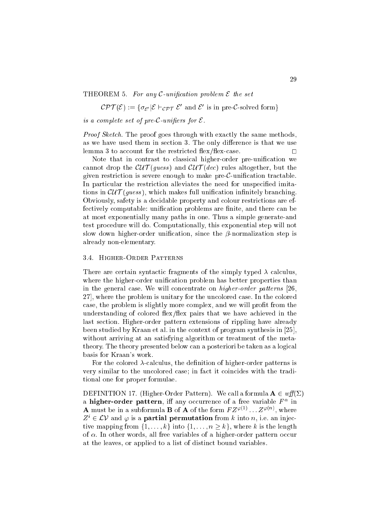## THEOREM 5. For any  $\mathcal{C}\text{-}unification problem \mathcal{E}$  the set

 $CPI(\mathcal{E}) := \{ \sigma_{\mathcal{E}} | \mathcal{E} \sqsubset \sigma_{\mathcal{E}} \tau \ \mathcal{E} \text{ and } \mathcal{E} \text{ is in pre-}C\text{-solved form} \}.$ 

is <sup>a</sup> omplete set of pre-C-uniers for <sup>E</sup>.

Proof Sket
h. The proof goes through with exa
tly the same methods, as we have used them in section 3. The only difference is that we use lemma 3 to account for the restricted flex/flex-case.  $\square$ 

Note that in contrast to classical higher-order pre-unification we cannot drop the  $\mathcal{CUT}(guess)$  and  $\mathcal{CUT}(dec)$  rules altogether, but the given restriction is severe enough to make pre- $\mathcal{C}$ -unification tractable. In particular the restriction alleviates the need for unspecified imitations in  $\mathcal{CUT}(guess)$ , which makes full unification infinitely branching. Obviously, safety is a de
idable property and olour restri
tions are effectively computable: unification problems are finite, and there can be at most exponentially many paths in one. Thus a simple generate-and test pro
edure will do. Computationally, this exponential step will not slow down higher-order unification, since the  $\beta$ -normalization step is already non-elementary.

## 3.4. Higher-Order Patterns

There are certain syntactic fragments of the simply typed  $\lambda$  calculus, where the higher-order unification problem has better properties than in the general case. We will concentrate on *higher-order patterns* [26, 27, where the problem is unitary for the uncolored case. In the colored case, the problem is slightly more complex, and we will profit from the understanding of colored flex/flex pairs that we have achieved in the last se
tion. Higher-order pattern extensions of rippling have already been studied by Kraan et al. in the context of program synthesis in  $[25]$ , without arriving at an satisfying algorithm or treatment of the metatheory. The theory presented below can a posteriori be taken as a logical basis for Kraan's work.

For the colored  $\lambda$ -calculus, the definition of higher-order patterns is very similar to the uncolored case; in fact it coincides with the traditional one for proper formulae.

DEFINITION 17. (Higher-Order Pattern). We call a formula  $A \in \mathit{wff}(\Sigma)$ a migher-order pattern, in any occurrence of a free variable  $r$  in **A** must be in a subformula **B** of **A** of the form  $FZ^{\varphi(1)} \dots Z^{\varphi(n)}$ , where  $Z^* \in L \nu$  and  $\varphi$  is a **partial permutation** from  $\kappa$  into  $n$ , i.e. an injective mapping from  $\{1, \ldots, k\}$  into  $\{1, \ldots, n \geq k\}$ , where k is the length of  $\alpha$ . In other words, all free variables of a higher-order pattern occur at the leaves, or applied to a list of distin
t bound variables.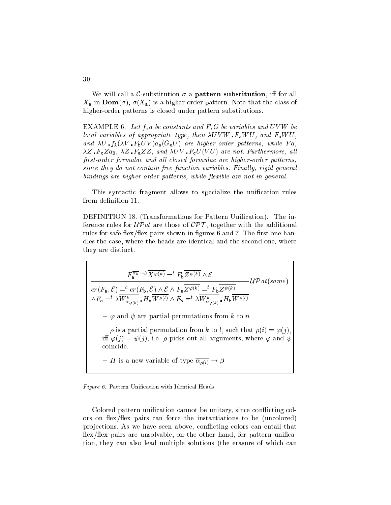We will call a C-substitution  $\sigma$  a **pattern substitution**, iff for all  $X_a$  in  $\text{Dom}(\sigma)$ ,  $\sigma(X_a)$  is a higher-order pattern. Note that the class of higher-order patterns is closed under pattern substitutions.

EXAMPLE 6. Let  $f, a$  be constants and  $F, G$  be variables and UVW be lo
al variables of appropriate type, then U V <sup>W</sup> FaW U, and FaW U, and  $\alpha$  functions  $\alpha$  ) and  $\alpha$  are higher-order patterns, while  $\alpha$  and  $\alpha$ z Fazz, and U V Fazz, and U V V V V Fazz, and U V V T C V Fazz, also interest and U V V T U V T U V T U V T U rst-order formulae and al l losed formulae are higher-order patterns, sin
e they do not ontain free fun
tion variables. Final ly, rigid general bindings are higher-order patterns, while exible are not in general.

This syntactic fragment allows to specialize the unification rules from definition 11.

DEFINITION 18. (Transformations for Pattern Unification). The inference rules for  $\mathcal{UP}at$  are those of  $\mathcal{CPT}$ , together with the additional rules for safe flex/flex pairs shown in figures 6 and 7. The first one handles the case, where the heads are identical and the second one, where they are distin
t.

 $F_{\mathbf{a}}^{\alpha_k \rightarrow \rho} X^{\varphi(\kappa)} =^{\iota} F_{\mathbf{b}} Z^{\psi(\kappa)} \wedge \mathcal{E}$ **UP** (same) (sample) (sample) (sample) (sample) (sample) (sample) (sample) (sample) (sample) (sample) (sample) (  $cr(F_{\mathbf{a}},\mathcal{E}) = ^ccr(F_{\mathbf{b}},\mathcal{E})\wedge \mathcal{E}\wedge F_{\mathbf{a}}Z^{\varphi(\kappa)} = ^cF_{\mathbf{b}}Z^{\psi(\kappa)}$  $\Delta V$   $\alpha_{\varphi(k)}$   $H$  a W  $P^{(*)}$   $\Delta$  F  $_{\rm b}$   $\equiv$   $\Delta W$   $\alpha_{\varphi(k)}$   $H$  b W  $P^{(*)}$  $-\varphi$  and  $\psi$  are partial permutations from k to n  $\hat{\rho}$  is a partial permutation from k to l, such that  $\rho(i) = \varphi(j)$ . iff  $\varphi(j) = \psi(j)$ , i.e.  $\rho$  picks out all arguments, where  $\varphi$  and  $\psi$ oin
ide. - H is a new variable of type  $\overline{\alpha_{\rho(l)}} \to \beta$ 

Figure 6. Pattern Unification with Identical Heads

Colored pattern unification cannot be unitary, since conflicting colors on flex/flex pairs can force the instantiations to be (uncolored) projections. As we have seen above, conflicting colors can entail that flex/flex pairs are unsolvable, on the other hand, for pattern unification, they can also lead multiple solutions (the erasure of which can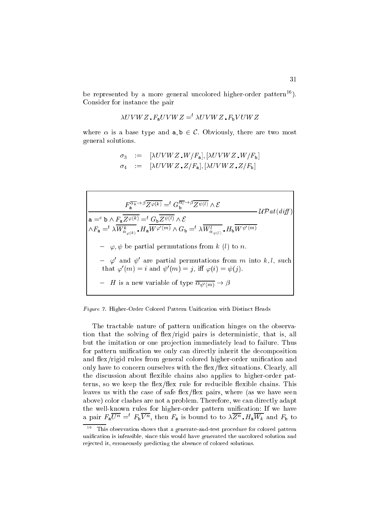be represented by a more general uncolored higher-order pattern<sup>16</sup>). Consider for instan
e the pair

$$
\lambda UVWZ \cdot F_aUVWZ =^t \lambda UVWZ \cdot F_bVUWZ
$$

where  $\alpha$  is a base type and  $a, b \in \mathcal{C}$ . Obviously, there are two most general solutions.

$$
\sigma_3 := [\lambda UVWZ, W/F_a], [\lambda UVWZ, W/F_b]
$$
  

$$
\sigma_4 := [\lambda UVWZ, Z/F_a], [\lambda UVWZ, Z/F_b]
$$

$$
F_a^{\overline{\alpha_k} \to \beta} \overline{Z^{\varphi(k)}} =^t G_b^{\overline{\alpha_l} \to \beta} \overline{Z^{\psi(l)}} \wedge \mathcal{E}
$$
  
\n
$$
\mathsf{a} =^c \mathsf{b} \wedge F_a \overline{Z^{\varphi(k)}} =^t G_b \overline{Z^{\psi(l)}} \wedge \mathcal{E}
$$
  
\n
$$
\wedge F_a =^t \lambda \overline{W_{\alpha_{\varphi(k)}}^k} \cdot H_a \overline{W^{\varphi'(m)}} \wedge G_b =^t \lambda \overline{W_{\alpha_{\psi(l)}}^l} \cdot H_b \overline{W^{\psi'(m)}}
$$
  
\n
$$
- \varphi, \psi \text{ be partial permutations from } k \ (l) \text{ to } n.
$$
  
\n
$$
- \varphi' \text{ and } \psi' \text{ are partial permutations from } m \text{ into } k, l, \text{ such that } \varphi'(m) = i \text{ and } \psi'(m) = j, \text{ iff } \varphi(i) = \psi(j).
$$
  
\n
$$
- H \text{ is a new variable of type } \overline{\alpha_{\psi'(m)}} \to \beta
$$

Figure 7. Higher-Order Colored Pattern Unification with Distinct Heads

The tractable nature of pattern unification hinges on the observation that the solving of flex/rigid pairs is deterministic, that is, all but the imitation or one projection immediately lead to failure. Thus for pattern unification we only can directly inherit the decomposition and flex/rigid rules from general colored higher-order unification and only have to concern ourselves with the flex/flex situations. Clearly, all the discussion about flexible chains also applies to higher-order patterns, so we keep the flex/flex rule for reducible flexible chains. This leaves us with the case of safe flex/flex pairs, where (as we have seen above) color clashes are not a problem. Therefore, we can directly adapt the well-known rules for higher-order pattern unification: If we have a pair  $r_a U^{\prime\prime} = r_b V^{\prime\prime}$ , then  $r_a$  is bound to to  $\lambda Z^{\prime\prime}$ .  $H_a W_k$  and  $F_b$  to

 $-$ This observation shows that a generate-and-test pro
edure for olored pattern unification is infeasible, since this would have generated the uncolored solution and rejected it, erroneously predicting the absence of colored solutions.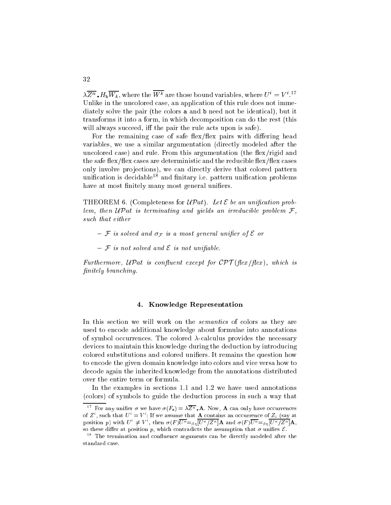$\lambda Z^{\prime\prime}$  .  $H_b W_k$ , where the W  $^{\prime\prime}$  are those bound variables, where  $U^{\prime} = V^{\prime}$ . Unlike in the uncolored case, an application of this rule does not immediately solve the pair (the colors **a** and **b** need not be identical), but it transforms it into a form, in whi
h de
omposition an do the rest (this will always succeed, iff the pair the rule acts upon is safe).

For the remaining case of safe flex/flex pairs with differing head variables, we use a similar argumentation (directly modeled after the uncolored case) and rule. From this argumentation (the flex/rigid and the safe flex/flex cases are deterministic and the reducible flex/flex cases only involve projections), we can directly derive that colored pattern unification is decidable<sup>18</sup> and finitary i.e. pattern unification problems have at most finitely many most general unifiers.

THEOREM 6. (Completeness for  $\mathcal{UP}at$ ). Let  $\mathcal E$  be an unification problem, then UPat is terminating and yields an irredu
ible problem <sup>F</sup>, such that either the either that is a set of the set of the set of the set of the set of the set of the set of

- $\mathcal F$  is solved and  $\sigma_{\mathcal F}$  is a most general unifier of  $\mathcal E$  or
- $\mathcal F$  is not solved and  $\mathcal E$  is not unifiable.

extractive to the control of the control of the state  $\mathcal{P}$  , and  $\mathcal{P}$  are  $\mathcal{P}$  , which is the control of nitely bran
hing.

## 4. Knowledge Representation

In this section we will work on the *semantics* of colors as they are used to en
ode additional knowledge about formulae into annotations of symbol occurrences. The colored  $\lambda$ -calculus provides the necessary devices to maintain this knowledge during the deduction by introducing colored substitutions and colored unifiers. It remains the question how to en
ode the given domain knowledge into olors and vi
e versa how to de
ode again the inherited knowledge from the annotations distributed over the entire term or formula.

In the examples in sections 1.1 and 1.2 we have used annotations (
olors) of symbols to guide the dedu
tion pro
ess in su
h a way that

32

For any unifier  $\sigma$  we have  $\sigma(F_a) = \lambda \overline{Z^n}$  **A**. Now, **A** can only have occurrences of Z<sup>i</sup>, such that  $U^i = V^i$ : If we assume that **A** contains an occurrence of  $Z_i$  (say at position p) with  $U^* \neq V^*$ , then  $\sigma(F)U^n = \sigma_n |U^n / Z^n |$  A and  $\sigma(F)U^n = \sigma_n |U^n / Z^n |$  A, so these differ at position p, which contradicts the assumption that  $\sigma$  unifies  $\mathcal{E}$ .

<sup>18</sup> The termination and on
uen
e arguments an be dire
tly modeled after the standard ase.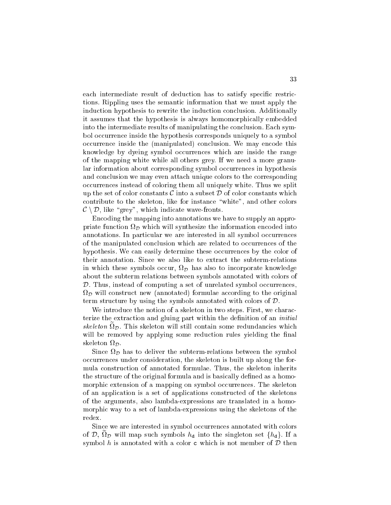each intermediate result of deduction has to satisfy specific restrictions. Rippling uses the semanti information that we must apply the induction hypothesis to rewrite the induction conclusion. Additionally it assumes that the hypothesis is always homomorphi
ally embedded into the intermediate results of manipulating the conclusion. Each symbol occurrence inside the hypothesis corresponds uniquely to a symbol occurrence inside the (manipulated) conclusion. We may encode this knowledge by dyeing symbol occurrences which are inside the range of the mapping white while all others grey. If we need a more granular information about corresponding symbol occurrences in hypothesis and conclusion we may even attach unique colors to the corresponding occurrences instead of coloring them all uniquely white. Thus we split up the set of color constants  $\mathcal C$  into a subset  $\mathcal D$  of color constants which contribute to the skeleton, like for instance "white", and other colors  $\mathcal{C} \setminus \mathcal{D}$ , like "grey", which indicate wave-fronts.

En
oding the mapping into annotations we have to supply an approprimate function  $\sim$   $\mu$  can mixing the information entry the intornation entry of the into  $\sim$ annotations. In particular we are interested in all symbol occurrences of the manipulated conclusion which are related to occurrences of the hypothesis. We can easily determine these occurrences by the color of their annotation. Sin
e we also like to extra
t the subterm-relations in which these symbols of also the  $\nu$  matrix that also to interference the state  $\sigma$ about the subterm relations between symbols annotated with olors of  $\mathcal{D}$ . Thus, instead of computing a set of unrelated symbol occurrences,  $\overline{\nu}$  and  $\overline{\nu}$  formulae annotated formulae annotated formulae annotated formulae annotated for  $\overline{\nu}$ term structure by using the symbols annotated with colors of  $D$ .

We introduce the notion of a skeleton in two steps. First, we characterize the extraction and gluing part within the definition of an *initial*  $s$  $\kappa$ eleton  $\iota$ o $p$ . This skeleton will still contain some redundancies which will be removed by applying some reduction rules yielding the final skeleton D.

Sin
e <sup>D</sup> has to deliver the subterm-relations between the symbol o

urren
es under onsideration, the skeleton is built up along the formula onstru
tion of annotated formulae. Thus, the skeleton inherits the structure of the original formula and is basically defined as a homomorphic extension of a mapping on symbol occurrences. The skeleton of an appli
ation is a set of appli
ations onstru
ted of the skeletons of the arguments, also lambda-expressions are translated in a homomorphi way to a set of lambda-expressions using the skeletons of the redex.

Since we are interested in symbol occurrences annotated with colors of  $\nu$ ,  $\iota_{\mathcal{D}}$  will map such symbols  $\iota_{d}$  move the singleton set  $\iota_{d}$   $\iota_{f}$ . If a symbol h is annotated with a color c which is not member of  $D$  then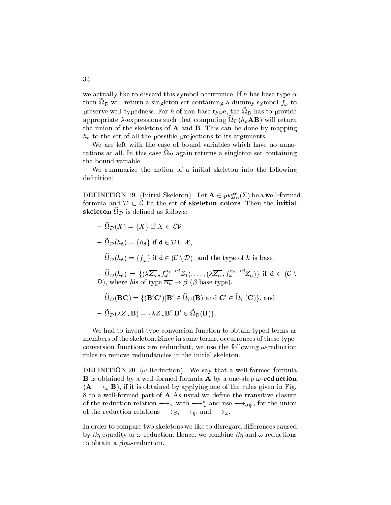we actually like to discard this symbol occurrence. If h has base type  $\alpha$ then  $\mathfrak{so}_D$  will return a singleton set comaining a dummy symbol  $J_\omega$  to preserve wen-typedness. For  $n$  or non-base type, the  $\iota \iota p$  has to provide appropriate  $\lambda$ -expressions such that computing  $\mathfrak{so}_{n}(\mu_{\mathbf{c}}\mathbf{A}\mathbf{D})$  will return the union of the skeletons of  $A$  and  $B$ . This can be done by mapping  $h_{\mathbf{c}}$  to the set of all the possible projections to its arguments.

We are left with the case of bound variables which have no anno $t$ ations at an. In this case  $\iota \mathcal{D}$  again returns a singleton set containing the bound variable.

We summarize the notion of a initial skeleton into the following definition:

DEFINITION 19. (Initial Skeleton). Let  $\mathbf{A} \in \text{pwff}_{\alpha}(\Sigma)$  be a well-formed formula and  $D \subset C$  be the set of skeleton colors. Then the initial skeleton  $\mathcal{L}^p$  is defined as follows.

 $\Gamma = \mu p(\Lambda) - \Lambda$  ( if  $\Lambda \subset \mathcal{L}V$ , <sup>e</sup> D(hd) <sup>=</sup> fhdg if <sup>d</sup> <sup>2</sup> <sup>D</sup> [ <sup>X</sup> ,  $= \Omega_{\mathcal{D}}(n_{d}) - \Omega_{\omega}f$  if  $d \in (\mathcal{C} \setminus \mathcal{D})$ , and the type of h is base,  $I = \Omega_{\mathcal{D}}(h_{d}) = \{(\lambda Z_n, f_{\omega} - Z_1), \ldots, (\lambda Z_n, f_{\omega} - Z_n)\}\;$  if  $d \in (\mathcal{C} \setminus \mathcal{D})$  $\mathbb{R}$  , where his of type n  $\mathbb{R}$  , we have the type  $\mathbb{R}$  $\mathcal{L} = \Omega_{\mathcal{D}}(\mathbf{B}\mathbf{C}) = \{(\mathbf{B}\mathbf{C})\mid \mathbf{B} \in \Omega_{\mathcal{D}}(\mathbf{B})\}$  and  $\mathbf{C}\in \Omega_{\mathcal{D}}(\mathbf{C})\}$ , and  $- \Omega_{\mathcal{D}}(\lambda Z \cdot \mathbf{B}) = \{ \lambda Z \cdot \mathbf{B} \mid \mathbf{B} \in \Omega_{\mathcal{D}}(\mathbf{B}) \}.$ 

We had to invent type-conversion function to obtain typed terms as members of the skeleton. Since in some terms, occurrences of these typeconversion functions are redundant, we use the following  $\omega$ -reduction rules to remove redundan
ies in the initial skeleton.

DEFINITION 20. ( $\omega$ -Reduction). We say that a well-formed formula **B** is obtained by a well-formed formula **A** by a one-step  $\omega$ -reduction  $(A \longrightarrow_{\omega} B)$ , if it is obtained by applying one of the rules given in Fig. 8 to a well-formed part of **A** As usual we define the transitive closure of the reduction relation  $\longrightarrow_\omega$  with  $\longrightarrow_\omega$  and use  $\longrightarrow_{\beta\eta\omega}$  for the union of the reduction relations  $\longrightarrow_{\beta}$ ,  $\longrightarrow_{\eta}$ , and  $\longrightarrow_{\omega}$ .

In order to compare two skeletons we like to disregard differences caused by  $\beta\eta$ -equality or  $\omega$ -reduction. Hence, we combine  $\beta\eta$  and  $\omega$ -reductions to obtain a  $\beta\eta\omega$ -reduction.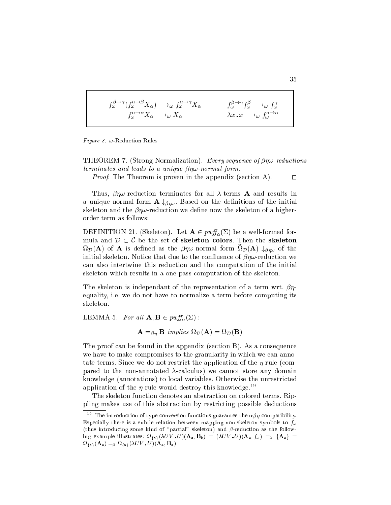$$
f_{\omega}^{\beta \to \gamma} (f_{\omega}^{\alpha \to \beta} X_{\alpha}) \longrightarrow_{\omega} f_{\omega}^{\alpha \to \gamma} X_{\alpha} \qquad f_{\omega}^{\beta \to \gamma} f_{\omega}^{\beta} \longrightarrow_{\omega} f_{\omega}^{\gamma}
$$

$$
f_{\omega}^{\alpha \to \alpha} X_{\alpha} \longrightarrow_{\omega} X_{\alpha} \qquad \lambda x \, . \qquad \lambda x \, . \qquad \lambda x \, .
$$

Figure 8.  $\omega$ -Reduction Rules

THEOREM 7. (Strong Normalization). Every sequence of  $\beta\eta\omega$ -reductions terminates and leads to a unique pright into the product  $\mathbb{R}^n$ 

Proof. The Theorem is proven in the appendix (se
tion A). <sup>2</sup>

Thus,  $\beta\eta\omega$ -reduction terminates for all  $\lambda$ -terms **A** and results in a unique normal form  $\mathbf{A} \downarrow_{\beta\eta\omega}$ . Based on the definitions of the initial skeleton and the  $\beta\eta\omega$ -reduction we define now the skeleton of a higherorder term as follows:

DEFINITION 21. (Skeleton). Let  $\mathbf{A} \in \text{pwff}_{\alpha}(\Sigma)$  be a well-formed formula and  $D \subset \mathcal{C}$  be the set of skeleton colors. Then the skeleton  $\mathfrak{so}_{\mathcal{D}}(\mathbf{A})$  of A is defined as the  $\mathfrak{op}_{\mathcal{P}}$ -hormal form  $\mathfrak{so}_{\mathcal{D}}(\mathbf{A})$   $\downarrow_{\beta\eta\omega}$  of the initial skeleton. Notice that due to the confluence of  $\beta\eta\omega$ -reduction we an also intertwine this redu
tion and the omputation of the initial skeleton whi
h results in a one-pass omputation of the skeleton.

The skeleton is independant of the representation of a term wrt.  $\beta\eta$ equality, i.e. we do not have to normalize a term before computing its skeleton.

LEMMA 5. For all  $\mathbf{A}, \mathbf{B} \in \text{pwff}_{\alpha}(\Sigma)$ :

 $\blacksquare$  and  $\blacksquare$  implies  $\blacksquare$  implies  $\blacksquare$  implies the property of  $\blacksquare$ 

The proof can be found in the appendix (section B). As a consequence we have to make compromises to the granularity in which we can annotate terms. Since we do not restrict the application of the  $\eta$ -rule (compared to the non-annotated  $\lambda$ -calculus) we cannot store any domain knowledge (annotations) to local variables. Otherwise the unrestricted application of the  $\eta$ -rule would destroy this knowledge.<sup>19</sup>

The skeleton function denotes an abstraction on colored terms. Rippling makes use of this abstra
tion by restri
ting possible dedu
tions

<sup>19</sup> The introduction of type-conversion functions guarantee the  $\alpha\beta\eta$ -compatibility. Especially there is a subtle relation between mapping non-skeleton symbols to  $f_{\omega}$ (thus introducing some kind of "partial" skeleton) and  $\beta$ -reduction as the following example illustrates:  $\Omega_{\{a\}}(\lambda UV, U)(\mathbf{A}_a, \mathbf{B}_b) = (\lambda UV, U)(\mathbf{A}_a, f_\omega) = -\beta \{A_a\}$  $\Omega_{\text{fa}}(\mathbf{A}_{\text{a}}) =_{\beta} \Omega_{\text{fa}}(\lambda UV \cdot U)(\mathbf{A}_{\text{a}}, \mathbf{B}_{\text{a}})$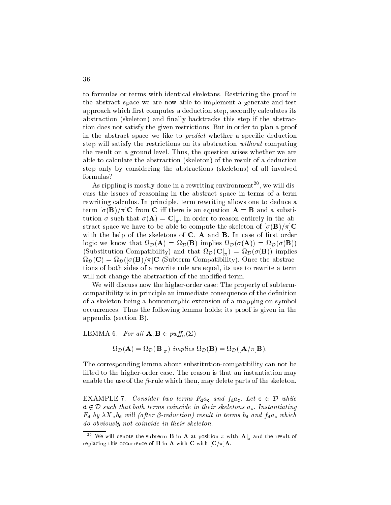to formulas or terms with identi
al skeletons. Restri
ting the proof in the abstract space we are now able to implement a generate-and-test approach which first computes a deduction step, secondly calculates its abstraction (skeleton) and finally backtracks this step if the abstraction does not satisfy the given restrictions. But in order to plan a proof in the abstract space we like to *predict* whether a specific deduction step will satisfy the restrictions on its abstraction *without* computing the result on a ground level. Thus, the question arises whether we are able to calculate the abstraction (skeleton) of the result of a deduction step only by onsidering the abstra
tions (skeletons) of all involved formulas?

As rippling is mostly done in a rewriting environment", we will disuss the issues of reasoning in the abstra
t spa
e in terms of a term rewriting calculus. In principle, term rewriting allows one to deduce a term  $\sigma(\mathbf{B})/\pi\mathbf{C}$  from C iff there is an equation  $\mathbf{A} = \mathbf{B}$  and a substitution is such that (A)  $\sim$  IM, we can consider the above  $\sim$   $\sim$   $\sim$ stract space we have to be able to compute the skeleton of  $\sigma(\mathbf{B})/\pi|\mathbf{C}$ with the help of the skeletons of  $C$ ,  $A$  and  $B$ . In case of first order ا *ا*ل = الساب المستقادة المستقادة المستقادة المستقادة المستقادة المستقادة المستقادة المستقادة المستقادة المستقادة (Substitution-Compatibility) and that  $\mathcal{L}(\mathcal{L}|\mathcal{R})$  and  $\mathcal{L}(\mathcal{L}|\mathcal{R})$  implies  $\mathcal{L}(\mathcal{L}|\mathcal{R})$  D(C) <sup>=</sup> D([(B)=℄C (Subterm-Compatibility). On
e the abstra
 tions of both sides of a rewrite rule are equal, its use to rewrite a term will not change the abstraction of the modified term.

We will discuss now the higher-order case: The property of subtermcompatibility is in principle an immediate consequence of the definition of a skeleton being a homomorphi extension of a mapping on symbol occurrences. Thus the following lemma holds; its proof is given in the appendix (se
tion B).

LEMMA 6. For all  $\mathbf{A}, \mathbf{B} \in \text{pwff}_{\alpha}(\Sigma)$ 

$$
\Omega_{\mathcal{D}}(\mathbf{A}) = \Omega_{\mathcal{D}}(\mathbf{B}|_{\pi}) \implies \Omega_{\mathcal{D}}(\mathbf{B}) = \Omega_{\mathcal{D}}([\mathbf{A}/\pi]\mathbf{B}).
$$

The orresponding lemma about substitutionompatibility an not be lifted to the higher-order case. The reason is that an instantiation may enable the use of the  $\beta$ -rule which then, may delete parts of the skeleton.

EXAMPLE 7. Consider two terms  $F_{d}a_{c}$  and  $f_{d}a_{c}$ . Let  $c \in \mathcal{D}$  while  $d \notin \mathcal{D}$  such that both terms coincide in their skeletons  $a_c$ . Instantiating  $F_{\rm d}$  by  $\lambda X$   $\rm d_{d}$  will (after  $\beta$ -reduction) result in terms  $\rm d_{d}$  and  $f_{\rm d}a_{\rm c}$  which do obviously not oin
ide in their skeleton.

<sup>&</sup>lt;sup>20</sup> We will denote the subterm **B** in **A** at position  $\pi$  with  $\mathbf{A}\vert_{\pi}$  and the result of replacing this occurrence of **B** in **A** with **C** with  $|C/\pi|$ **A**.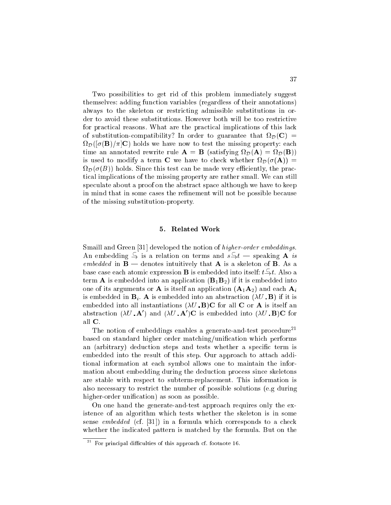Two possibilities to get rid of this problem immediately suggest themselves: adding fun
tion variables (regardless of their annotations) always to the skeleton or restricting admissible substitutions in order to avoid these substitutions. However both will be too restri
tive for practical reasons. What are the practical implications of this lack ompatibility? In order to guarantee that the substitution- D([(B)=℄C) holds we have now to test the missing property: ea
h time an annotated rewrite rule A = B (satisfying D(A) <sup>=</sup> D(B)) is used to modify a term  $\mathcal{U}(\lambda)$  and  $\mathcal{U}(\lambda)$  are to modify a term contribution of  $\mathcal{U}(\lambda)$ iently, the processes where the since the made very computer  $\eta$ , the processes of  $\eta$ tical implications of the missing property are rather small. We can still speculate about a proof on the abstract space although we have to keep in mind that in some ases the renement will not be possible be
ause of the missing substitution-property.

## 5. Related Work

Smaill and Green [31] developed the notion of *higher-order embeddings*. An embedding  $\Rightarrow$  is a relation on terms and  $s \Rightarrow t$  — speaking **A** is embedded in B in Brown of Brown of the A is a skeleton of Brown of Brown of Brown of A base case each atomic expression  $\bf{B}$  is embedded into itself:  $t \rightarrow t$ . Also a term **A** is embedded into an application  $(\mathbf{B}_1 \mathbf{B}_2)$  if it is embedded into one of its arguments or **A** is itself an application  $(A_1A_2)$  and each  $A_i$ is embedded in  $\mathbf{B}_i$ . A is embedded into an abstraction  $(\lambda U \cdot \mathbf{B})$  if it is embedded into all instantiations  $(\lambda U \cdot \mathbf{B})\mathbf{C}$  for all **C** or **A** is itself an abstraction ( $\lambda U$   $\bf{A}$ ) and ( $\lambda U$   $\bf{A}$ )  $\bf{C}$  is embedded into ( $\lambda U$   $\bf{B}$ ) $\bf{C}$  for all C.

The notion of embeddings enables a generate-and-test procedure<sup>21</sup> based on standard higher order matching/unification which performs an (arbitrary) deduction steps and tests whether a specific term is embedded into the result of this step. Our approach to attach additional information at ea
h symbol allows one to maintain the information about embedding during the deduction process since skeletons are stable with respe
t to subterm-repla
ement. This information is also ne
essary to restri
t the number of possible solutions (e.g during higher-order unification) as soon as possible.

On one hand the generate-and-test approa
h requires only the existen
e of an algorithm whi
h tests whether the skeleton is in some sense embedded (cf.  $[31]$ ) in a formula which corresponds to a check whether the indicated pattern is matched by the formula. But on the

The Form principal difficulties of this approach cf. footnote 16.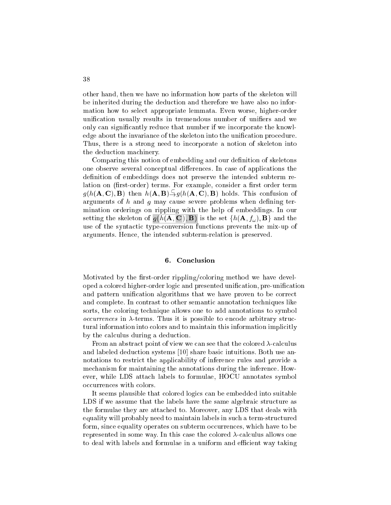other hand, then we have no information how parts of the skeleton will be inherited during the dedu
tion and therefore we have also no information how to sele
t appropriate lemmata. Even worse, higher-order unification usually results in tremendous number of unifiers and we only can significantly reduce that number if we incorporate the knowledge about the invariance of the skeleton into the unification procedure. Thus, there is a strong need to incorporate a notion of skeleton into the dedu
tion ma
hinery.

Comparing this notion of embedding and our definition of skeletons one observe several conceptual differences. In case of applications the definition of embeddings does not preserve the intended subterm relation on (first-order) terms. For example, consider a first order term  $g(n(\mathbf{A}, \mathbf{C}), \mathbf{B})$  then  $n(\mathbf{A}, \mathbf{B}) \rightarrow g(n(\mathbf{A}, \mathbf{C}), \mathbf{B})$  holds. This confusion of arguments of  $h$  and  $g$  may cause severe problems when defining termination orderings on rippling with the help of embeddings. In our setting the skeleton of  $g(h(\mathbf{A}, \mathbf{C}), \mathbf{B})$  is the set  $\{h(\mathbf{A}, f_{\omega}), \mathbf{B}\}\)$  and the use of the syntactic type-conversion functions prevents the mix-up of arguments. Hen
e, the intended subterm-relation is preserved.

## 6. Conclusion

Motivated by the first-order rippling/coloring method we have developed a olored higher-order logi and presented uni
ation, pre-uni
ation and pattern unification algorithms that we have proven to be correct and omplete. In ontrast to other semanti annotation te
hniques like sorts, the coloring technique allows one to add annotations to symbol ode arbitrary structure to enter the structure of the structure of the structure of the structure of the structure of the structure of the structure of the structure of the structure of the structure of the structure of th tural information into colors and to maintain this information implicitly by the calculus during a deduction.

From an abstract point of view we can see that the colored  $\lambda$ -calculus and labeled deduction systems [10] share basic intuitions. Both use annotations to restrict the applicability of inference rules and provide a me
hanism for maintaining the annotations during the inferen
e. However, while LDS atta
h labels to formulae, HOCU annotates symbol occurrences with colors.

It seems plausible that colored logics can be embedded into suitable LDS if we assume that the labels have the same algebraic structure as the formulae they are atta
hed to. Moreover, any LDS that deals with equality will probably need to maintain labels in such a term-structured form, since equality operates on subterm occurrences, which have to be represented in some way. In this case the colored  $\lambda$ -calculus allows one to deal with labels and formulae in a uniform and efficient way taking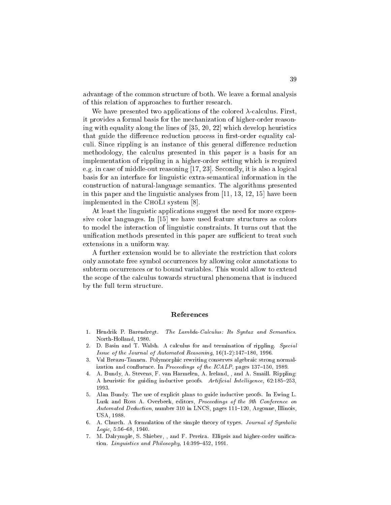advantage of the ommon stru
ture of both. We leave a formal analysis of this relation of approa
hes to further resear
h.

We have presented two applications of the colored  $\lambda$ -calculus. First, it provides a formal basis for the me
hanization of higher-order reasoning with equality along the lines of  $[35, 20, 22]$  which develop heuristics that guide the difference reduction process in first-order equality calculi. Since rippling is an instance of this general difference reduction methodology, the calculus presented in this paper is a basis for an implementation of rippling in a higher-order setting whi
h is required e.g. in case of middle-out reasoning  $[17, 23]$ . Secondly, it is also a logical basis for an interfa
e for linguisti extra-semanti
al information in the onstru
tion of natural-language semanti
s. The algorithms presented in this paper and the linguistic analyses from  $[11, 13, 12, 15]$  have been implemented in the CHOLI system  $[8]$ .

At least the linguistic applications suggest the need for more expressive color languages. In [15] we have used feature structures as colors to model the interaction of linguistic constraints. It turns out that the unification methods presented in this paper are sufficient to treat such extensions in a uniform way.

A further extension would be to alleviate the restri
tion that olors only annotate free symbol occurrences by allowing color annotations to subterm occurrences or to bound variables. This would allow to extend the scope of the calculus towards structural phenomena that is induced by the full term stru
ture.

## Referen
es

- 1. Hendrik P. Barendregt. The Lambda-Calculus: Its Syntax and Semantics. North-Holland, 1980.
- 2. D. Basin and T. Walsh. A calculus for and termination of rippling. Special Issue of the Journal of Automated Reasoning,  $16(1-2):147-180$ , 1996.
- $\mathbf{R}$ Val Breazu-Tannen. Polymorphic rewriting conserves algebraic strong normalization and confluence. In *Proceedings of the ICALP*, pages  $137-150$ ,  $1989$ .
- 4. A. Bundy, A. Stevens, F. van Harmelen, A. Ireland, , and A. Smaill. Rippling:  $\overline{4}$ A heuristic for guiding inductive proofs. Artificial Intelligence, 62:185-253, 1993.
- 5. Alan Bundy. The use of expli
it plans to guide indu
tive proofs. In Ewing L. Lusk and Ross A. Overbeek, editors, *Proceedings of the 9th Conference on* Automated Deduction, number 310 in LNCS, pages 111-120, Argonne, Illinois, USA, 1988.
- 6. A. Chur
h. A formulation of the simple theory of types. Journal of Symboli  $Loaic, 5:56-68, 1940.$
- 7. M. Dalrymple, S. Shieber, , and F. Pereira. Ellipsis and higher-order uni
ation. Linguistics and Philosophy,  $14:399-452$ , 1991.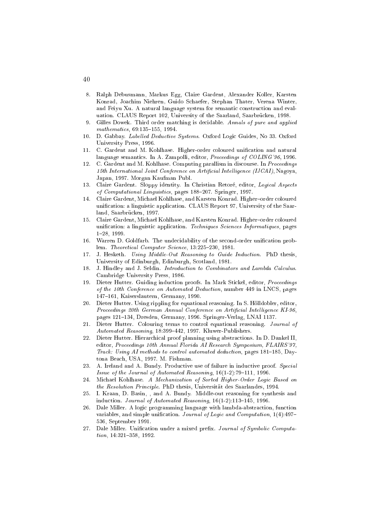- 8. Ralph Debusmann, Markus Egg, Claire Gardent, Alexander Koller, Karsten Konrad, Joa
him Niehren, Guido S
haefer, Stephan Thater, Verena Winter, and Feiyu Xu. A natural language system for semantic construction and evaluation. CLAUS Report 102, University of the Saarland, Saarbrücken, 1998.
- 9. Gilles Dowek. Third order matching is decidable. Annals of pure and applied mathematics, 69:135-155, 1994.
- 10. D. Gabbay. Labelled Deductive Systems. Oxford Logic Guides, No 33. Oxford University Press, 1996.
- 11. C. Gardent and M. Kohlhase. Higher-order coloured unification and natural language semantics. In A. Zampolli, editor, Proceedings of COLING'96, 1996.
- C. Gardent and M. Kohlhase. Computing parallism in discourse. In Proceedings 12. 15th International Joint Conference on Artificial Intelligence (IJCAI), Nagoya, Japan, 1997. Morgan Kaufman Publ.
- 13. Claire Gardent. Sloppy identity. In Christian Retoré, editor, Logical Aspects of Computational Linguistics, pages 188-207. Springer, 1997.
- 14. Claire Gardent, Michael Kohlhase, and Karsten Konrad. Higher-order coloured unification: a linguistic application. CLAUS Report 97, University of the Saarland, Saarbrücken, 1997.
- $15<sub>1</sub>$ Claire Gardent, Michael Kohlhase, and Karsten Konrad. Higher-order coloured unification: a linguistic application. Techniques Sciences Informatiques, pages 1{28, 1999.
- 16. Warren D. Goldfarb. The undecidability of the second-order unification problem. Theoretical Computer Science, 13:225-230, 1981.
- 17. J. Hesketh. Using Middle-Out Reasoning to Guide Induction. PhD thesis, University of Edinburgh, Edinburgh, S
otland, 1981.
- 18. J. Hindley and J. Seldin. Introduction to Combinators and Lambda Calculus. Cambridge University Press, 1986.
- 19. Dieter Hutter. Guiding induction proofs. In Mark Stickel, editor, *Proceedings* of the 10th Conferen
e on Automated Dedu
tion, number 449 in LNCS, pages 147-161, Kaiserslautern, Germany, 1990.
- 20. Dieter Hutter. Using rippling for equational reasoning. In S. Holldobler, editor, Proceedings 20th German Annual Conference on Artificial Intelligence KI-96, pages 121-134, Dresden, Germany, 1996. Springer-Verlag, LNAI 1137.
- 21. Dieter Hutter. Colouring terms to control equational reasoning. Journal of Automated Reasoning, 18:399-442, 1997. Kluwer-Publishers.
- 22. Dieter Hutter. Hierar
hi
al proof planning using abstra
tions. In D. Dankel II, editor, Proceedings 10th Annual Florida AI Research Symposium, FLAIRS'97, Track: Using AI methods to control automated deduction, pages 181-185, Daytona Bea
h, USA, 1997. M. Fishman.
- 23. A. Ireland and A. Bundy. Productive use of failure in inductive proof. Special Issue of the Journal of Automated Reasoning,  $16(1-2)$ :79-111, 1996.
- 24. Michael Kohlhase. A Mechanization of Sorted Higher-Order Logic Based on the Resolution Prin
iple. PhD thesis, Universitat des Saarlandes, 1994.
- 25. I. Kraan, D. Basin, , and A. Bundy. Middle-out reasoning for synthesis and induction. Journal of Automated Reasoning,  $16(1-2)$ :113-145, 1996.
- 26. Dale Miller. A logic programming language with lambda-abstraction, function variables, and simple unification. Journal of Logic and Computation, 1(4):497-536, September 1991.
- 27. Dale Miller. Unification under a mixed prefix. Journal of Symbolic Computa $tion, 14:321-358, 1992.$

40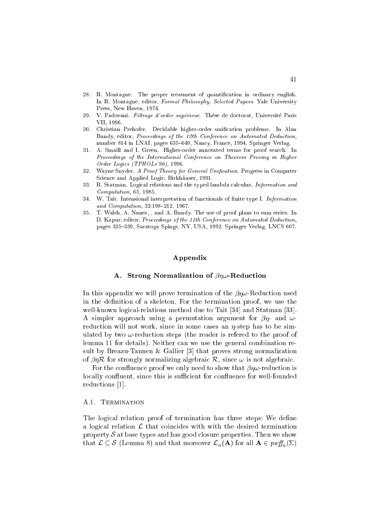- 28. R. Montague. The proper treatment of quantification in ordinary english. In R. Montague, editor, Formal Philosophy. Selected Papers. Yale University Press, New Haven, 1974.
- 29. V. Padovani. Filtrage d'order supérieur. Thése de doctorat, Université Paris VII, 1996.
- 30. Christian Prehofer. De
idable higher-order uni
ation problems. In Alan Bundy, editor, Proceedings of the 12th Conference on Automated Deduction, number 814 in LNAI, pages 635-649, Nancy, France, 1994. Springer Verlag.
- 31. A. Smaill and I. Green. Higher-order annotated terms for proof sear
h. In Proceedings of the International Conference on Theorem Proving in Higher Order Logi
s (TPHOLs'96), 1996.
- 32. Wayne Snyder. A Proof Theory for General Unification. Progress in Computer S
ien
e and Applied Logi
. Birkhauser, 1991.
- 33. R. Statman. Logical relations and the typed lambda calculus. *Information and* Computation, 65, 1985.
- 34. W. Tait. Intensional interpretation of functionals of finite type I. Information and  $Computation$ ,  $32:198-212$ ,  $1967$ .
- 35. T. Walsh, A. Nunes, , and A. Bundy. The use of proof plans to sum series. In D. Kapur, editor, Proceedings of the 11th Conference on Automated Deduction, pages 325-339, Saratoga Spings, NY, USA, 1992. Springer Verlag, LNCS 607.

## Appendix

## A. Strong Normalization of  $\beta\eta\omega$ -Reduction

In this appendix we will prove termination of the  $\beta\eta\omega$ -Reduction used in the definition of a skeleton. For the termination proof, we use the well-known logical-relations method due to Tait [34] and Statman [33]. A simpler approach using a permutation argument for  $\beta\eta$  and  $\omega$ reduction will not work, since in some cases an  $\eta$ -step has to be simulated by two  $\omega$ -reduction steps (the reader is refered to the proof of lemma 11 for details). Neither can we use the general combination result by Breazu-Tannen & Gallier  $[3]$  that proves strong normalization of  $\beta \eta \mathcal{R}$  for strongly normalizing algebraic  $\mathcal{R}$ , since  $\omega$  is not algebraic.

For the confluence proof we only need to show that  $\beta\eta\omega$ -reduction is locally confluent, since this is sufficient for confluence for well-founded reductions [1].

## A.1. Termination

The logical relation proof of termination has three steps: We define a logical relation  $\mathcal L$  that coincides with with the desired termination property  $S$  at base types and has good closure properties. Then we show that  $\mathcal{L} \subseteq \mathcal{S}$  (Lemma 8) and that moreover  $\mathcal{L}_{\alpha}(A)$  for all  $A \in \text{p wff}_{\alpha}(\Sigma)$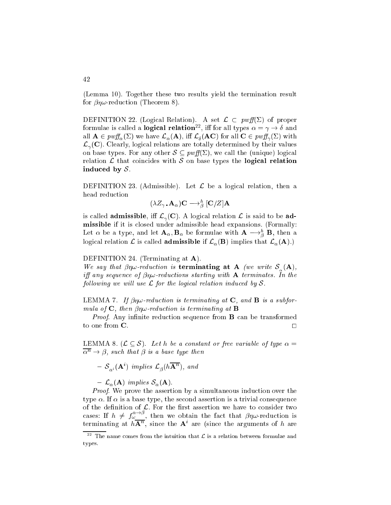(Lemma 10). Together these two results yield the termination result for  $\beta\eta\omega$ -reduction (Theorem 8).

DEFINITION 22. (Logical Relation). A set  $\mathcal{L} \subset p w f f(\Sigma)$  of proper formulae is called a **logical relation**<sup>--</sup>, in for all types  $\alpha = \gamma \to \sigma$  and and  $\alpha = \sum_{i=1}^{n} p_i \alpha_i$  (a), in the sum and  $\alpha_i$  (a), i.e.  $\alpha_i$  (a), i.e.  $\alpha_i$  is an all  $\alpha_i$  in  $\alpha_i$  in  $\alpha_i$  $\mathcal{L}_{\gamma}(\mathbf{C})$ . Clearly, logical relations are totally determined by their values on base types. For any other  $S \subseteq p \infty(f(\Sigma))$ , we call the (unique) logical relation  $\mathcal L$  that coincides with  $\mathcal S$  on base types the logical relation induced by  $S$ .

DEFINITION 23. (Admissible). Let  $\mathcal L$  be a logical relation, then a head redu
tion

$$
(\lambda Z_{\gamma}\cdot \mathbf{A}_{\alpha})\mathbf{C}\longrightarrow^{h}_{\beta}[\mathbf{C}/Z]\mathbf{A}
$$

is called **admissible**, iff  $\mathcal{L}_{\gamma}(\mathbf{C})$ . A logical relation  $\mathcal{L}$  is said to be admissible if it is losed under admissible head expansions. (Formally: Let  $\alpha$  be a type, and let  ${\bf A}_\alpha, {\bf D}_\alpha$  be formulae with  ${\bf A}\longrightarrow_\beta {\bf D},$  then a logical relation  $\mathcal L$  is called **admissible** if  $\mathcal L_\alpha(\mathbf B)$  implies that  $\mathcal L_\alpha(\mathbf A)$ .)

DEFINITION 24. (Terminating at **A**).

where the same samples is the samples of the samples of the samples of the samples  $\mathcal{A}$  (we write  $\mathcal{A}$ is any starting with a proper communication with  $\mathbf{r}_i$  and the continuation of the starting with  $\mathbf{r}_i$ fol lowing we wil l use <sup>L</sup> for the logi
al relation indu
ed by <sup>S</sup>.

LEMMA 7. If  $\beta\eta\omega$ -reduction is terminating at **C**, and **B** is a subformula of the pipe section is the member of the section  $\mathbb{P}^1$ 

Proof. Any innite redu
tion sequen
e from B an be transformed to one from  $\mathbf C$ .

LEMMA 8.  $(\mathcal{L} \subseteq \mathcal{S})$ . Let h be a constant or free variable of type  $\alpha =$  $\overline{\alpha^n} \rightarrow \beta$ , such that  $\beta$  is a base type then

 $=$   $\mathcal{S}_{\alpha^i}(\mathbf{A}^{\dagger})$  implies  $\mathcal{L}_{\beta}(n\mathbf{A}^{\dagger})$ , and

 $-\mathcal{L}_{\alpha}(\mathbf{A})$  implies  $\mathcal{S}_{\alpha}(\mathbf{A})$ .

Proof. We prove the assertion by a simultaneous indu
tion over the type  $\alpha$ . If  $\alpha$  is a base type, the second assertion is a trivial consequence of the definition of  $\mathcal{L}$ . For the first assertion we have to consider two cases: If  $h \neq f\tilde{\omega}$ , then we obtain the fact that  $\beta\eta\omega$ -reduction is terminating at  $n\mathbf{A}^+$ , since the  $\mathbf{A}^+$  are (since the arguments of  $n$  are

The name comes from the intuition that  $L$  is a relation between formulae and types.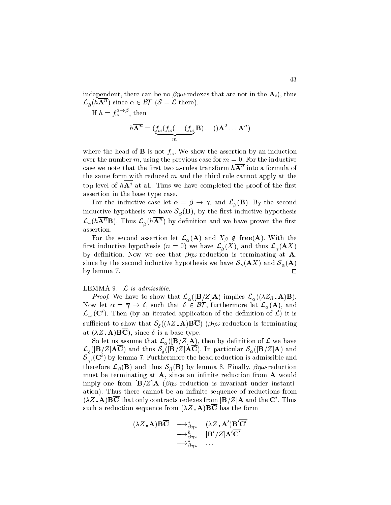independent, there can be no  $\beta\eta\omega$ -redexes that are not in the  $\mathbf{A}_i$ , thus  $\mathcal{L}_{\beta}(n\mathbf{A}^{-})$  since  $\alpha \in \mathcal{B}$  ( $\delta = \mathcal{L}$  there).

If 
$$
h = f_{\omega}^{\alpha \to \beta}
$$
, then  
\n
$$
h \overline{\mathbf{A}^n} = (\underbrace{f_{\omega}(f_{\omega}(\dots(f_{\omega}\mathbf{B})\dots))\mathbf{A}^2 \dots \mathbf{A}^n}_{m})
$$

where the head of B is not fixed  $\bm{y}_{\bm{w}}$  , the shown the assertion by an induction by over the number m, using the previous case for  $m = 0$ . For the inductive case we note that the first two  $\omega$ -rules transform  $n\mathbf{A}^+$  into a formula of the same form with reduced  $m$  and the third rule cannot apply at the top-level of  $nA<sup>j</sup>$  at all. Thus we have completed the proof of the first assertion in the base type ase.

For the inductive case let  $\alpha = \beta \rightarrow \gamma$ , and  $\mathcal{L}_{\beta}(\mathbf{B})$ . By the second inductive hypothesis we have  $S_{\beta}(\mathbf{B})$ , by the first inductive hypothesis  $\mathcal{L}_{\gamma}(n\mathbf{A}^{\cdot\cdot}\mathbf{B}).$  Thus  $\mathcal{L}_{\beta}(n\mathbf{A}^{\cdot\cdot})$  by definition and we have proven the first assertion.

For the second assertion let  $\mathcal{L}_{\alpha}(A)$  and  $X_{\beta} \notin \{ \text{free}(A)$ . With the first inductive hypothesis  $(n = 0)$  we have  $\mathcal{L}_{\beta}(X)$ , and thus  $\mathcal{L}_{\gamma}(\mathbf{A}X)$ by definition. Now we see that  $\beta\eta\omega$ -reduction is terminating at **A**, since by the second inductive hypothesis we have  $\mathcal{S}_{\gamma}(\mathbf{A} X)$  and  $\mathcal{S}_{\alpha}(\mathbf{A})$ by lemma 7.

## LEMMA 9.  $\mathcal{L}$  is admissible.

Finally, we have to show that  $\sim \alpha$  ([F  $\beta$  implies  $\sim$   $\alpha$  (  $\alpha$  ) implies  $\sim$   $\alpha$ Now let  $\alpha = \overline{\gamma} \to \delta$ , such that  $\delta \in \mathcal{BT}$ , furthermore let  $\mathcal{L}_{\alpha}(A)$ , and  $\mathcal{L}_{\gamma^{i}}(\mathbf{C}^{\cdot}).$  Then (by an iterated application of the definition of  $\mathcal{L}$ ) it is suÆ
ient to show that <sup>S</sup> ((Z A)BC) (!-redu
tion is terminating at  $(\lambda Z \cdot \mathbf{A}) \mathbf{B} \overline{\mathbf{C}}$ , since  $\delta$  is a base type.

So let us assume that  $\mathcal{L}_{\alpha}(|\mathbf{B}/Z|\mathbf{A})$ , then by definition of  $\mathcal{L}$  we have  $\Gamma$  and the set of the state  $\Gamma$  and the state  $\Gamma$  $\mathcal{S}_{\gamma^i}(\mathbf{C}_\gamma)$  by lemma 7. Furthermore the head reduction is admissible and  $\mathcal{L} = \mathcal{B} \setminus \mathcal{A}$  and thus SNS finally, the set of the set of the set of the set of the set of the set of the set of the set of the set of the set of the set of the set of the set of the set of the set of the set o must be terminating at  $A$ , since an infinite reduction from  $A$  would imply one from  $\mathbf{B}/Z\mathbf{A}$  ( $\beta\eta\omega$ -reduction is invariant under instantiation). Thus there cannot be an infinite sequence of reductions from ( $\lambda Z$  . A BC that only contracts redexes from  $|\mathbf{B}/Z|$  and the C . Thus such a reduction sequence from  $(\lambda Z \cdot \mathbf{A}) \mathbf{B} \overline{\mathbf{C}}$  has the form

$$
(\lambda Z \cdot \mathbf{A}) \mathbf{B} \overline{\mathbf{C}} \longrightarrow_{\substack{\beta \eta \omega \\ \longrightarrow \beta \eta \omega}}^{\lambda} (\lambda Z \cdot \mathbf{A}') \mathbf{B}' \mathbf{C}'
$$

$$
\longrightarrow_{\substack{\beta \eta \omega \\ \longrightarrow \beta \eta \omega}}^{\lambda} [\mathbf{B}' / Z] \mathbf{A}' \overline{\mathbf{C}'}
$$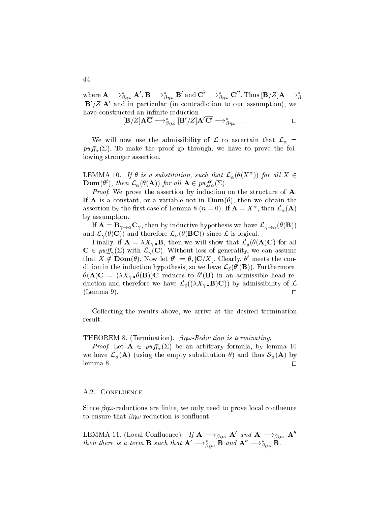where  ${\bf A}\longrightarrow^*_{\beta\eta\omega}{\bf A}',{\bf B}\longrightarrow^*_{\beta\eta\omega}{\bf B}'$  and  ${\bf C}^*\longrightarrow^*_{\beta\eta\omega}{\bf C}'$  . Thus  $[{\bf B}/Z]{\bf A}\longrightarrow^*_{\beta}$  $|{\bf B}|/Z|{\bf A}|$  and in particular (in contradiction to our assumption), we have constructed an infinite reduction

$$
[\mathbf{B}/Z]\mathbf{A}\overline{\mathbf{C}} \mathop{\longrightarrow}_{\beta\eta\omega}^{\ast} [\mathbf{B}'/Z]\mathbf{A}'\overline{\mathbf{C}'} \mathop{\longrightarrow}_{\beta\eta\omega}^{\ast} \dots \hspace{2cm} \square
$$

We will now use the admissibility of  $\mathcal L$  to ascertain that  $\mathcal L_{\alpha} =$  $p w f_{\alpha}(\Sigma)$ . To make the proof go through, we have to prove the following stronger assertion.

LEWINIA 10. If  $\sigma$  is a substitution, such that  $\mathcal{L}_{\alpha}(\sigma(\Lambda^{-}))$  for all  $\Lambda \in$ **Dom**( $\sigma'$ ), then  $\mathcal{L}_{\alpha}(\sigma(\mathbf{A}))$  for all  $\mathbf{A} \in \mathit{pwff}_{\alpha}(\mathcal{L})$ .

Proof. We prove the assertion by indu
tion on the stru
ture of A. If **A** is a constant, or a variable not in  $\text{Dom}(\theta)$ , then we obtain the assertion by the first case of Lemma 8 ( $n = 0$ ). If  ${\bf A} = A$ , then  ${\cal L}_\alpha({\bf A})$ by assumption.

If  $\mathbf{A} = \mathbf{B}_{\gamma \to \alpha} \mathbf{C}_{\gamma}$ , then by inductive hypothesis we have  $\mathcal{L}_{\gamma \to \alpha}(\theta(\mathbf{B}))$ and  $\mathcal{L}_{\gamma}(\theta(\mathbf{C}))$  and therefore  $\mathcal{L}_{\alpha}(\theta(\mathbf{BC}))$  since  $\mathcal{L}$  is logical.

Finally, if  $\mathcal{F} = \mathcal{F}$  and we will show that  $\mathcal{F} = \mathcal{F}$  and  $\mathcal{F} = \mathcal{F}$  $\mathbf{C} \in \text{perf}_\gamma(\Sigma)$  with  $\mathcal{L}_\gamma(\mathbf{C})$ . Without loss of generality, we can assume that  $\Lambda \notin \textbf{Dom}(v)$ . Now let  $v := v, |\mathbf{C}/\Lambda|$ . Clearly, v meets the condition in the induction hypothesis, so we have  $\mathcal{L}_{\delta}(\sigma | \mathbf{b})$ ). Furthermore,  $\theta(A)$ C =  $(\lambda A_{\gamma} \cdot \theta(B))$ C reduces to  $\theta(B)$  in an admissible head reduction and therefore we have  $\alpha_0$  ((x  $\alpha$ )) by admissibility of LE  $(\text{Lemma } 9).$ 

Colle
ting the results above, we arrive at the desired termination result.

THEOREM 8. (Termination).  $\beta \eta \omega$ -Reduction is terminating.

 $P$  is a proof. Let  $P$  and  $P$  are an arbitrary formula, by lemma 100  $\pm$ we have  $\mathcal{L}_{\alpha}(\mathbf{A})$  (using the empty substitution  $\theta$ ) and thus  $\mathcal{S}_{\alpha}(\mathbf{A})$  by lemma 8.  $\Box$ 

## A.2. CONFLUENCE

Since  $\beta\eta\omega$ -reductions are finite, we only need to prove local confluence to ensure that  $\beta\eta\omega$ -reduction is confluent.

LEMMA II. (LOCAL CONTINUESTICE). IJ  $\mathbf{A} \longrightarrow_{\beta\eta\omega} \mathbf{A}$  and  $\mathbf{A} \longrightarrow_{\beta\eta\omega} \mathbf{A}$ then there is a term **B** such that  $\mathbf{A} \longrightarrow_{\beta n\omega} \mathbf{B}$  and  $\mathbf{A} \longrightarrow_{\beta n\omega} \mathbf{B}$ .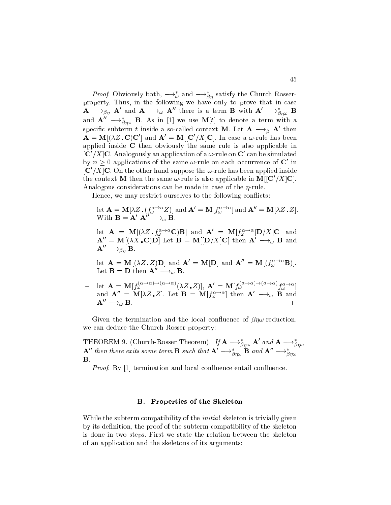*Proof.* Obviously both,  $\rightarrow_{\omega}$  and  $\rightarrow_{\beta}$  satisfy the Church Rosserproperty. Thus, in the following we have only to prove that in ase  ${\bf A} \longrightarrow_{\beta\eta} {\bf A}$  and  ${\bf A} \longrightarrow_\omega {\bf A}$  there is a term  ${\bf B}$  with  ${\bf A} \longrightarrow_{\beta\eta\omega} {\bf B}$ and  $\mathbf{A} \quad \longrightarrow_{\beta n\omega}$  **B**. As in [1] we use  $\mathbf{M}[t]$  to denote a term with a specinc subterm t inside a so-called context  $\mathbf{M}$ . Let  $\mathbf{A} \longrightarrow_{\beta} \mathbf{A}$  then  ${\bf A} = {\bf M} || \lambda Z$  .  ${\bf C} | {\bf C} |$  and  ${\bf A} = {\bf M} || {\bf C} / A | {\bf C} |$ . In case a  $\omega$ -rule has been applied inside  $C$  then obviously the same rule is also applicable in  $|\mathbf{C}|/\Lambda |\mathbf{C}$ . Analogously an application of a  $\omega$ -rule on  $\mathbf{C}$  -can be simulated by  $n > 0$  applications of the same  $\omega$ -rule on each occurrence of  $\mathbb C$  in  $\vert\mathbf{C}\vert/\mathbf{\Lambda}\vert\mathbf{C}$ . On the other hand suppose the  $\omega$ -rule has been applied inside the context in then the same  $\omega$ -rule is also applicable in  $\mathbf{M}||\mathbf{C}/\mathbf{\Lambda}|\mathbf{C}|.$ Analogous considerations can be made in case of the  $\eta$ -rule.

Hence, we may restrict ourselves to the following conflicts:

- $\mathcal{L} = \text{let } \mathbf{A} = \text{wt}[\lambda Z \cdot (J_{\omega}^{\alpha} \wedge \alpha Z)]$  and  $\mathbf{A} = \text{wt}[\lambda Z \cdot \alpha]$ . With  $\mathbf{B} = \mathbf{A} \mathbf{A} \longrightarrow_{\omega} \mathbf{B}$ .
- $-$  let  $\mathbf{A} = \mathbf{M}[(\lambda Z_i, \mathbf{I}_{\omega}^{\top} \cdot \mathbf{C})\mathbf{B}]$  and  $\mathbf{A} = \mathbf{M}[\mathbf{I}_{\omega}^{\top} \cdot \mathbf{D}/\mathbf{A}]\mathbf{C}]$  and  ${\bf A} = {\bf M} | (\lambda \lambda, {\bf U}) {\bf D} |$  let  ${\bf B} = {\bf M} | | {\bf D} / \lambda | {\bf U} |$  then  ${\bf A} \longrightarrow_{\omega} {\bf B}$  and  ${\bf A} \;\; \longrightarrow_{\beta n} \; {\bf B}.$
- $\mathcal{L} = \text{let } \mathbf{A} = \text{wt}[(\lambda \Sigma \cdot \mathcal{L})\mathbf{D}]$  and  $\mathbf{A} = \text{wt}[\mathbf{D}]$  and  $\mathbf{A} = \text{wt}[(\mathbf{J}_{\omega}^{\omega} \cdot \mathbf{B})]$ . Let  $\mathbf{B}=\mathbf{D}$  then  $\mathbf{A}^{\mathbf{0}}\rightarrow_{\omega}\mathbf{B}.$
- $\mathbf{A} = \mathbf{M}[f_{\omega} \quad ( \lambda Z \cdot Z)], \mathbf{A}' = \mathbf{M}[f_{\omega} \quad ( \lambda Z \cdot Z)]$ and  $\mathbf{A} = \mathbf{M}[\lambda Z, Z]$ . Let  $\mathbf{B} = \mathbf{M}[f_{\omega}^{\top}]$  then  $\mathbf{A} \longrightarrow_{\omega} \mathbf{B}$  and  ${\bf A}$   $\longrightarrow_{\omega} {\bf B}$ .

Given the termination and the local confluence of  $\beta\eta\omega$ -reduction, we an dedu
e the Chur
h-Rosser property:

**THEOREM 9.** (Church-Rosser Theorem). If  $\mathbf{A} \rightarrow_{\beta\eta\omega} \mathbf{A}$  and  $\mathbf{A} \rightarrow_{\beta\eta\omega}$ <br> $\mathbf{A}''$  then there exits some term **B** such that  $\mathbf{A}' \rightarrow_{\beta\eta\omega}^* \mathbf{B}$  and  $\mathbf{A}'' \rightarrow_{\beta\eta\omega}^*$ B.

e entail en la provincia de la comparación and los comparations de la provincia de la provincia de la provinci

## B. Properties of the Skeleton

While the subterm compatibility of the *initial* skeleton is trivially given by its definition, the proof of the subterm compatibility of the skeleton is done in two steps. First we state the relation between the skeleton of an appli
ation and the skeletons of its arguments: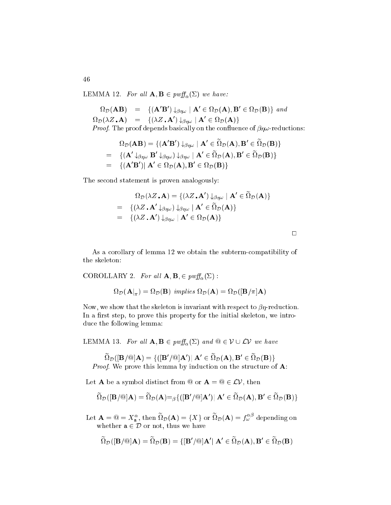LEMMA 12. For all  $\mathbf{A}, \mathbf{B} \in \text{pwff}_{\alpha}(\Sigma)$  we have:

$$
\Omega_{\mathcal{D}}(\mathbf{AB}) = \{ (\mathbf{A}'\mathbf{B}') \downarrow_{\beta\eta\omega} \mid \mathbf{A}' \in \Omega_{\mathcal{D}}(\mathbf{A}), \mathbf{B}' \in \Omega_{\mathcal{D}}(\mathbf{B}) \} \text{ and}
$$
  
\n
$$
\Omega_{\mathcal{D}}(\lambda Z \cdot \mathbf{A}) = \{ (\lambda Z \cdot \mathbf{A}') \downarrow_{\beta\eta\omega} \mid \mathbf{A}' \in \Omega_{\mathcal{D}}(\mathbf{A}) \}
$$
  
\n*Proof.* The proof depends basically on the confluence of  $\beta\eta\omega$ -reductions:

$$
\Omega_{\mathcal{D}}(\mathbf{A}\mathbf{B}) = \{ (\mathbf{A}'\mathbf{B}') \downarrow_{\beta\eta\omega} \mid \mathbf{A}' \in \widetilde{\Omega}_{\mathcal{D}}(\mathbf{A}), \mathbf{B}' \in \widetilde{\Omega}_{\mathcal{D}}(\mathbf{B}) \}
$$
\n
$$
= \{ (\mathbf{A}' \downarrow_{\beta\eta\omega} \mathbf{B}' \downarrow_{\beta\eta\omega}) \downarrow_{\beta\eta\omega} \mid \mathbf{A}' \in \widetilde{\Omega}_{\mathcal{D}}(\mathbf{A}), \mathbf{B}' \in \widetilde{\Omega}_{\mathcal{D}}(\mathbf{B}) \}
$$
\n
$$
= \{ (\mathbf{A}'\mathbf{B}') \mid \mathbf{A}' \in \Omega_{\mathcal{D}}(\mathbf{A}), \mathbf{B}' \in \Omega_{\mathcal{D}}(\mathbf{B}) \}
$$

The second statement is proven analogously:

$$
\Omega_{\mathcal{D}}(\lambda Z \cdot \mathbf{A}) = \{ (\lambda Z \cdot \mathbf{A}') \downarrow_{\beta\eta\omega} | \mathbf{A}' \in \widetilde{\Omega}_{\mathcal{D}}(\mathbf{A}) \}
$$
  
=  $\{ (\lambda Z \cdot \mathbf{A}' \downarrow_{\beta\eta\omega}) \downarrow_{\beta\eta\omega} | \mathbf{A}' \in \widetilde{\Omega}_{\mathcal{D}}(\mathbf{A}) \}$   
=  $\{ (\lambda Z \cdot \mathbf{A}') \downarrow_{\beta\eta\omega} | \mathbf{A}' \in \Omega_{\mathcal{D}}(\mathbf{A}) \}$ 

 $\Box$ 

As a orollary of lemma 12 we obtain the subtermompatibility of the skeleton:

COROLLARY 2. For all 
$$
\mathbf{A}, \mathbf{B}, \in \text{pwff}_{\alpha}(\Sigma)
$$
:  

$$
\Omega_{\mathcal{D}}(\mathbf{A}|_{\pi}) = \Omega_{\mathcal{D}}(\mathbf{B}) \text{ implies } \Omega_{\mathcal{D}}(\mathbf{A}) = \Omega_{\mathcal{D}}([\mathbf{B}/\pi]\mathbf{A})
$$

Now, we show that the skeleton is invariant with respect to  $\beta\eta$ -reduction. In a first step, to prove this property for the initial skeleton, we introdu
e the following lemma:

LEMMA 13. For all  $\mathbf{A}, \mathbf{B} \in \text{pwff}_\alpha(\Sigma)$  and  $\omega \in \mathcal{V} \cup \mathcal{LV}$  we have

$$
\widetilde{\Omega}_{\mathcal{D}}([\mathbf{B}/\mathbb{Q}]\mathbf{A}) = \{([\mathbf{B}'/\mathbb{Q}]\mathbf{A}') \mid \mathbf{A}' \in \widetilde{\Omega}_{\mathcal{D}}(\mathbf{A}), \mathbf{B}' \in \widetilde{\Omega}_{\mathcal{D}}(\mathbf{B})\}
$$
  
*Proof.* We prove this lemma by induction on the structure of **A**:

Let **A** be a symbol distinct from  $\omega$  or  $\mathbf{A} = \omega \in \mathcal{LV}$ , then

$$
\widetilde{\Omega}_{\mathcal{D}}([\mathbf{B}/\textcircled{a}]\mathbf{A}) = \widetilde{\Omega}_{\mathcal{D}}(\mathbf{A}) =_{\beta} \{([\mathbf{B}'/\textcircled{a}]\mathbf{A}')|\ \mathbf{A}' \in \widetilde{\Omega}_{\mathcal{D}}(\mathbf{A}), \mathbf{B}' \in \widetilde{\Omega}_{\mathcal{D}}(\mathbf{B})\}
$$

Let  ${\bf A}=\omega=X_{\bf a}^\alpha$ , then  $\Omega_\mathcal{D}({\bf A})=\{X\}$  or  $\Omega_\mathcal{D}({\bf A})=f_\omega^\mathcal{D}$  depending on whether a 2 D or not, there are a 2 D or not, the contract we have have the contract we have the contract we h

$$
\widetilde{\Omega}_{\mathcal{D}}([\mathbf{B}/\mathbb{Q}]\mathbf{A}) = \widetilde{\Omega}_{\mathcal{D}}(\mathbf{B}) = \{ [\mathbf{B}'/\mathbb{Q}]\mathbf{A}' | \ \mathbf{A}' \in \widetilde{\Omega}_{\mathcal{D}}(\mathbf{A}), \mathbf{B}' \in \widetilde{\Omega}_{\mathcal{D}}(\mathbf{B})\}
$$

46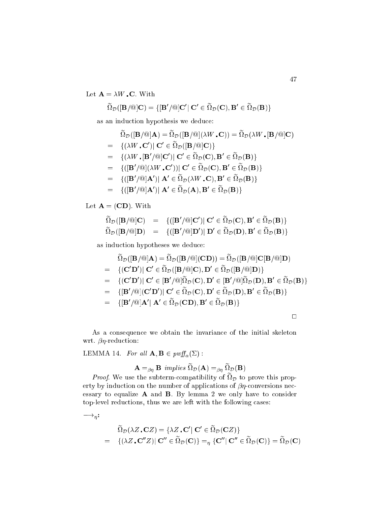Let  $\mathbf{A} = \lambda W \cdot \mathbf{C}$ . With

$$
\widetilde{\Omega}_{\mathcal{D}}([\mathbf{B}/@]\mathbf{C}) = \{ [\mathbf{B}'/\text{@}]\mathbf{C}' | \ \mathbf{C}' \in \widetilde{\Omega}_{\mathcal{D}}(\mathbf{C}), \mathbf{B}' \in \widetilde{\Omega}_{\mathcal{D}}(\mathbf{B}) \}
$$

as an indu
tion hypothesis we dedu
e:

$$
\begin{aligned}\n\widetilde{\Omega}_{\mathcal{D}}([\mathbf{B}/@]\mathbf{A}) &= \widetilde{\Omega}_{\mathcal{D}}([\mathbf{B}/@](\lambda W \cdot \mathbf{C})) = \widetilde{\Omega}_{\mathcal{D}}(\lambda W \cdot [\mathbf{B}/@]\mathbf{C}) \\
&= \{(\lambda W \cdot \mathbf{C}') \mid \mathbf{C}' \in \widetilde{\Omega}_{\mathcal{D}}([\mathbf{B}/@]\mathbf{C})\} \\
&= \{(\lambda W \cdot [\mathbf{B}'/@]\mathbf{C}') \mid \mathbf{C}' \in \widetilde{\Omega}_{\mathcal{D}}(\mathbf{C}), \mathbf{B}' \in \widetilde{\Omega}_{\mathcal{D}}(\mathbf{B})\} \\
&= \{([\mathbf{B}'/\@](\lambda W \cdot \mathbf{C}')) \mid \mathbf{C}' \in \widetilde{\Omega}_{\mathcal{D}}(\mathbf{C}), \mathbf{B}' \in \widetilde{\Omega}_{\mathcal{D}}(\mathbf{B})\} \\
&= \{([\mathbf{B}'/\@](\lambda W \cdot \mathbf{C})) \mid \mathbf{A}' \in \widetilde{\Omega}_{\mathcal{D}}(\lambda W \cdot \mathbf{C}), \mathbf{B}' \in \widetilde{\Omega}_{\mathcal{D}}(\mathbf{B})\} \\
&= \{([\mathbf{B}'/\@](\mathbf{A}') \mid \mathbf{A}' \in \widetilde{\Omega}_{\mathcal{D}}(\mathbf{A}), \mathbf{B}' \in \widetilde{\Omega}_{\mathcal{D}}(\mathbf{B})\}\n\end{aligned}
$$

Let  $\mathbf{A} = (CD)$ . With

$$
\widetilde{\Omega}_{\mathcal{D}}([\mathbf{B}/\mathbb{Q}]\mathbf{C}) = \{([\mathbf{B}'/\mathbb{Q}]\mathbf{C}')| \mathbf{C}' \in \widetilde{\Omega}_{\mathcal{D}}(\mathbf{C}), \mathbf{B}' \in \widetilde{\Omega}_{\mathcal{D}}(\mathbf{B})\}
$$
\n
$$
\widetilde{\Omega}_{\mathcal{D}}([\mathbf{B}/\mathbb{Q}]\mathbf{D}) = \{([\mathbf{B}'/\mathbb{Q}]\mathbf{D}')| \mathbf{D}' \in \widetilde{\Omega}_{\mathcal{D}}(\mathbf{D}), \mathbf{B}' \in \widetilde{\Omega}_{\mathcal{D}}(\mathbf{B})\}
$$

as indu
tion hypotheses we dedu
e:

$$
\widetilde{\Omega}_{\mathcal{D}}([\mathbf{B}/@]\mathbf{A}) = \widetilde{\Omega}_{\mathcal{D}}([\mathbf{B}/@](\mathbf{CD})) = \widetilde{\Omega}_{\mathcal{D}}([\mathbf{B}/@]\mathbf{C}[\mathbf{B}/@]\mathbf{D}) \n= \{ (\mathbf{C}'\mathbf{D}') | \mathbf{C}' \in \widetilde{\Omega}_{\mathcal{D}}([\mathbf{B}/@]\mathbf{C}), \mathbf{D}' \in \widetilde{\Omega}_{\mathcal{D}}([\mathbf{B}/@]\mathbf{D}) \} \n= \{ (\mathbf{C}'\mathbf{D}') | \mathbf{C}' \in [\mathbf{B}'/\mathbf{Q}]\widetilde{\Omega}_{\mathcal{D}}(\mathbf{C}), \mathbf{D}' \in [\mathbf{B}'/\mathbf{Q}]\widetilde{\Omega}_{\mathcal{D}}(\mathbf{D}), \mathbf{B}' \in \widetilde{\Omega}_{\mathcal{D}}(\mathbf{B}) \} \n= \{ [\mathbf{B}'/\mathbf{Q}] (\mathbf{C}'\mathbf{D}') | \mathbf{C}' \in \widetilde{\Omega}_{\mathcal{D}}(\mathbf{C}), \mathbf{D}' \in \widetilde{\Omega}_{\mathcal{D}}(\mathbf{D}), \mathbf{B}' \in \widetilde{\Omega}_{\mathcal{D}}(\mathbf{B}) \} \n= \{ [\mathbf{B}'/\mathbf{Q}] \mathbf{A}' | \mathbf{A}' \in \widetilde{\Omega}_{\mathcal{D}}(\mathbf{C}\mathbf{D}), \mathbf{B}' \in \widetilde{\Omega}_{\mathcal{D}}(\mathbf{B}) \}
$$

 $\Box$ 

As a onsequen
e we obtain the invarian
e of the initial skeleton wrt.  $\beta \eta$ -reduction:

LEMMA 14. For all  $\mathbf{A}, \mathbf{B} \in \text{pwff}_\alpha(\Sigma)$ :

$$
\mathbf{A} =_{\beta\eta} \mathbf{B} \implies \widetilde{\Omega}_{\mathcal{D}}(\mathbf{A}) =_{\beta\eta} \widetilde{\Omega}_{\mathcal{D}}(\mathbf{B})
$$

*Froof.* We use the subterm-compatibility of  $\alpha_p$  to prove this property by indu
tion on the number of appli
ations of onversions ne
 essary to equalize  $A$  and  $B$ . By lemma 2 we only have to consider top-level reductions, thus we are left with the following cases:

$$
\longrightarrow_{\eta}:
$$

$$
\widetilde{\Omega}_{\mathcal{D}}(\lambda Z, \mathbf{C}Z) = \{ \lambda Z, \mathbf{C}' | \mathbf{C}' \in \widetilde{\Omega}_{\mathcal{D}}(\mathbf{C}Z) \}
$$
\n
$$
= \{ (\lambda Z, \mathbf{C}''Z) | \mathbf{C}'' \in \widetilde{\Omega}_{\mathcal{D}}(\mathbf{C}) \} =_{\eta} \{ \mathbf{C}'' | \mathbf{C}'' \in \widetilde{\Omega}_{\mathcal{D}}(\mathbf{C}) \} = \widetilde{\Omega}_{\mathcal{D}}(\mathbf{C})
$$